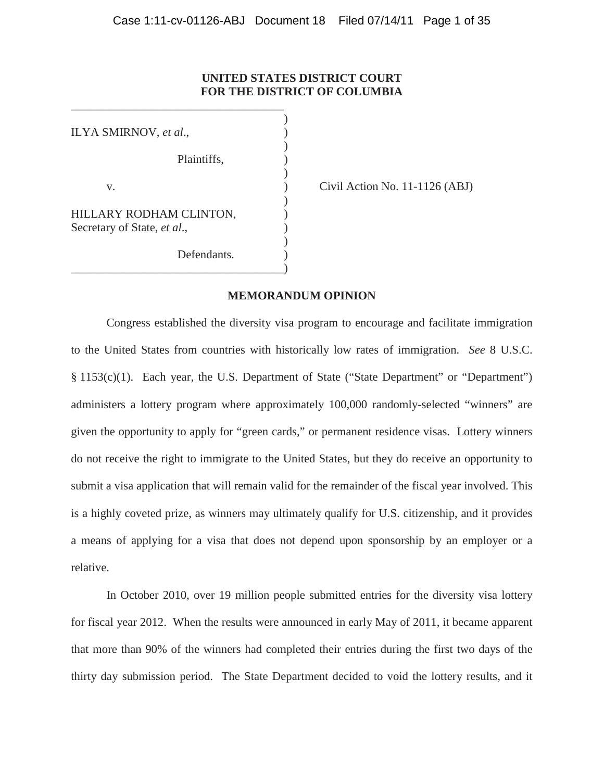# **UNITED STATES DISTRICT COURT FOR THE DISTRICT OF COLUMBIA**

| ILYA SMIRNOV, et al.,                                  |  |
|--------------------------------------------------------|--|
| Plaintiffs,                                            |  |
| V.                                                     |  |
| HILLARY RODHAM CLINTON,<br>Secretary of State, et al., |  |
| Defendants.                                            |  |

\_\_\_\_\_\_\_\_\_\_\_\_\_\_\_\_\_\_\_\_\_\_\_\_\_\_\_\_\_\_\_\_\_\_\_\_

Civil Action No.  $11-1126$  (ABJ)

# **MEMORANDUM OPINION**

Congress established the diversity visa program to encourage and facilitate immigration to the United States from countries with historically low rates of immigration. *See* 8 U.S.C. § 1153(c)(1). Each year, the U.S. Department of State ("State Department" or "Department") administers a lottery program where approximately 100,000 randomly-selected "winners" are given the opportunity to apply for "green cards," or permanent residence visas. Lottery winners do not receive the right to immigrate to the United States, but they do receive an opportunity to submit a visa application that will remain valid for the remainder of the fiscal year involved. This is a highly coveted prize, as winners may ultimately qualify for U.S. citizenship, and it provides a means of applying for a visa that does not depend upon sponsorship by an employer or a relative.

In October 2010, over 19 million people submitted entries for the diversity visa lottery for fiscal year 2012. When the results were announced in early May of 2011, it became apparent that more than 90% of the winners had completed their entries during the first two days of the thirty day submission period. The State Department decided to void the lottery results, and it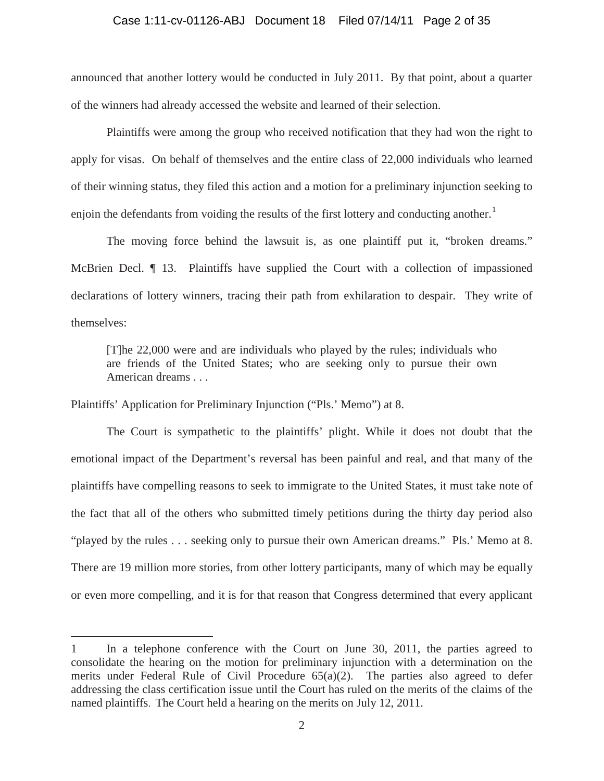# Case 1:11-cv-01126-ABJ Document 18 Filed 07/14/11 Page 2 of 35

announced that another lottery would be conducted in July 2011. By that point, about a quarter of the winners had already accessed the website and learned of their selection.

Plaintiffs were among the group who received notification that they had won the right to apply for visas. On behalf of themselves and the entire class of 22,000 individuals who learned of their winning status, they filed this action and a motion for a preliminary injunction seeking to enjoin the defendants from voiding the results of the first lottery and conducting another.<sup>1</sup>

The moving force behind the lawsuit is, as one plaintiff put it, "broken dreams." McBrien Decl. ¶ 13. Plaintiffs have supplied the Court with a collection of impassioned declarations of lottery winners, tracing their path from exhilaration to despair. They write of themselves:

[T]he 22,000 were and are individuals who played by the rules; individuals who are friends of the United States; who are seeking only to pursue their own American dreams . . .

Plaintiffs' Application for Preliminary Injunction ("Pls.' Memo") at 8.

 $\overline{a}$ 

The Court is sympathetic to the plaintiffs' plight. While it does not doubt that the emotional impact of the Department's reversal has been painful and real, and that many of the plaintiffs have compelling reasons to seek to immigrate to the United States, it must take note of the fact that all of the others who submitted timely petitions during the thirty day period also "played by the rules . . . seeking only to pursue their own American dreams." Pls.' Memo at 8. There are 19 million more stories, from other lottery participants, many of which may be equally or even more compelling, and it is for that reason that Congress determined that every applicant

<sup>1</sup> In a telephone conference with the Court on June 30, 2011, the parties agreed to consolidate the hearing on the motion for preliminary injunction with a determination on the merits under Federal Rule of Civil Procedure 65(a)(2). The parties also agreed to defer addressing the class certification issue until the Court has ruled on the merits of the claims of the named plaintiffs. The Court held a hearing on the merits on July 12, 2011.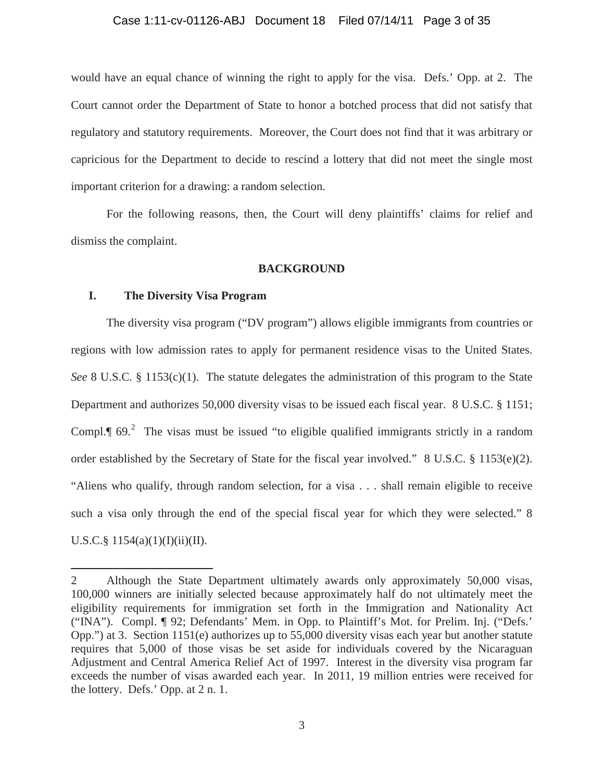# Case 1:11-cv-01126-ABJ Document 18 Filed 07/14/11 Page 3 of 35

would have an equal chance of winning the right to apply for the visa. Defs.' Opp. at 2. The Court cannot order the Department of State to honor a botched process that did not satisfy that regulatory and statutory requirements. Moreover, the Court does not find that it was arbitrary or capricious for the Department to decide to rescind a lottery that did not meet the single most important criterion for a drawing: a random selection.

For the following reasons, then, the Court will deny plaintiffs' claims for relief and dismiss the complaint.

# **BACKGROUND**

# **I. The Diversity Visa Program**

 $\overline{a}$ 

The diversity visa program ("DV program") allows eligible immigrants from countries or regions with low admission rates to apply for permanent residence visas to the United States. *See* 8 U.S.C. § 1153(c)(1). The statute delegates the administration of this program to the State Department and authorizes 50,000 diversity visas to be issued each fiscal year. 8 U.S.C. § 1151; Compl. $\P$  69.<sup>2</sup> The visas must be issued "to eligible qualified immigrants strictly in a random order established by the Secretary of State for the fiscal year involved." 8 U.S.C. § 1153(e)(2). "Aliens who qualify, through random selection, for a visa . . . shall remain eligible to receive such a visa only through the end of the special fiscal year for which they were selected." 8 U.S.C.§  $1154(a)(1)(I)(ii)(II)$ .

<sup>2</sup> Although the State Department ultimately awards only approximately 50,000 visas, 100,000 winners are initially selected because approximately half do not ultimately meet the eligibility requirements for immigration set forth in the Immigration and Nationality Act ("INA"). Compl. ¶ 92; Defendants' Mem. in Opp. to Plaintiff's Mot. for Prelim. Inj. ("Defs.' Opp.") at 3. Section 1151(e) authorizes up to 55,000 diversity visas each year but another statute requires that 5,000 of those visas be set aside for individuals covered by the Nicaraguan Adjustment and Central America Relief Act of 1997. Interest in the diversity visa program far exceeds the number of visas awarded each year. In 2011, 19 million entries were received for the lottery. Defs.' Opp. at 2 n. 1.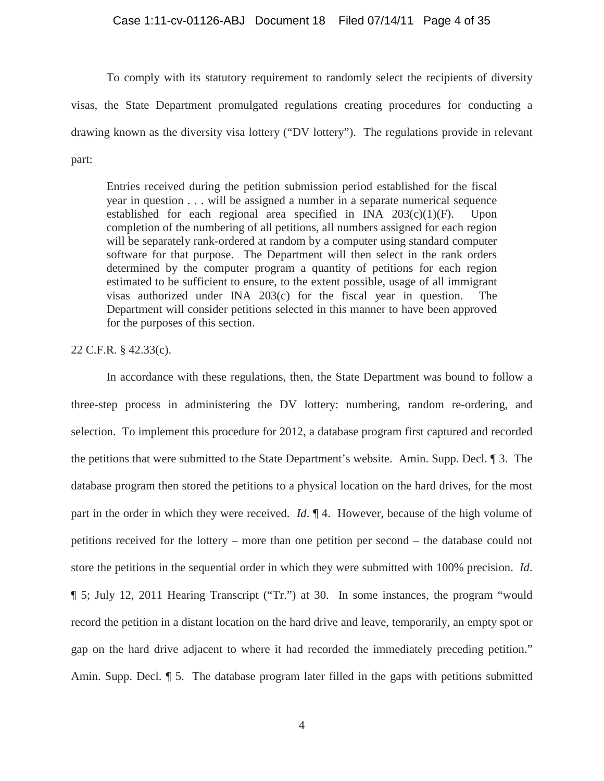# Case 1:11-cv-01126-ABJ Document 18 Filed 07/14/11 Page 4 of 35

To comply with its statutory requirement to randomly select the recipients of diversity visas, the State Department promulgated regulations creating procedures for conducting a drawing known as the diversity visa lottery ("DV lottery"). The regulations provide in relevant part:

Entries received during the petition submission period established for the fiscal year in question . . . will be assigned a number in a separate numerical sequence established for each regional area specified in INA 203(c)(1)(F). Upon completion of the numbering of all petitions, all numbers assigned for each region will be separately rank-ordered at random by a computer using standard computer software for that purpose. The Department will then select in the rank orders determined by the computer program a quantity of petitions for each region estimated to be sufficient to ensure, to the extent possible, usage of all immigrant visas authorized under INA 203(c) for the fiscal year in question. The Department will consider petitions selected in this manner to have been approved for the purposes of this section.

# 22 C.F.R. § 42.33(c).

In accordance with these regulations, then, the State Department was bound to follow a three-step process in administering the DV lottery: numbering, random re-ordering, and selection. To implement this procedure for 2012, a database program first captured and recorded the petitions that were submitted to the State Department's website. Amin. Supp. Decl. ¶ 3. The database program then stored the petitions to a physical location on the hard drives, for the most part in the order in which they were received. *Id*. ¶ 4. However, because of the high volume of petitions received for the lottery – more than one petition per second – the database could not store the petitions in the sequential order in which they were submitted with 100% precision. *Id*. ¶ 5; July 12, 2011 Hearing Transcript ("Tr.") at 30. In some instances, the program "would record the petition in a distant location on the hard drive and leave, temporarily, an empty spot or gap on the hard drive adjacent to where it had recorded the immediately preceding petition." Amin. Supp. Decl. ¶ 5. The database program later filled in the gaps with petitions submitted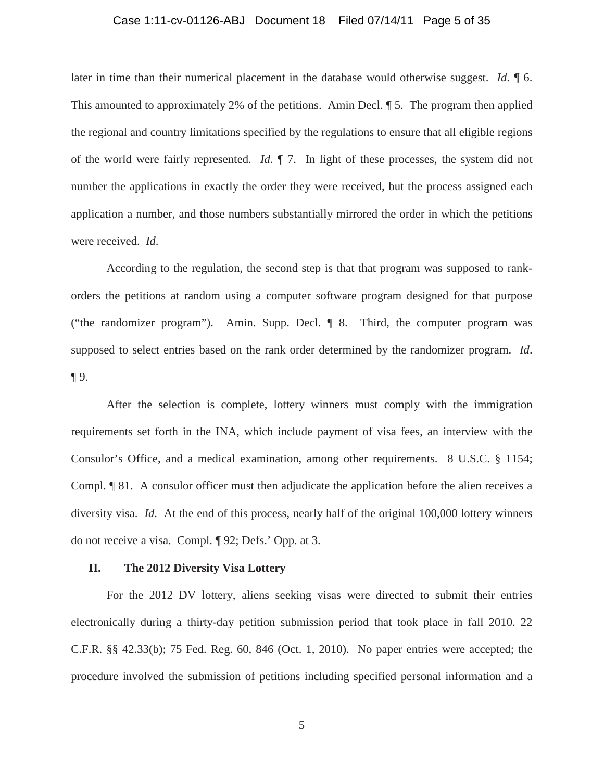# Case 1:11-cv-01126-ABJ Document 18 Filed 07/14/11 Page 5 of 35

later in time than their numerical placement in the database would otherwise suggest. *Id*. ¶ 6. This amounted to approximately 2% of the petitions. Amin Decl. ¶ 5. The program then applied the regional and country limitations specified by the regulations to ensure that all eligible regions of the world were fairly represented. *Id*. ¶ 7. In light of these processes, the system did not number the applications in exactly the order they were received, but the process assigned each application a number, and those numbers substantially mirrored the order in which the petitions were received. *Id*.

According to the regulation, the second step is that that program was supposed to rankorders the petitions at random using a computer software program designed for that purpose ("the randomizer program"). Amin. Supp. Decl. ¶ 8. Third, the computer program was supposed to select entries based on the rank order determined by the randomizer program. *Id*. ¶ 9.

After the selection is complete, lottery winners must comply with the immigration requirements set forth in the INA, which include payment of visa fees, an interview with the Consulor's Office, and a medical examination, among other requirements. 8 U.S.C. § 1154; Compl. ¶ 81. A consulor officer must then adjudicate the application before the alien receives a diversity visa. *Id*. At the end of this process, nearly half of the original 100,000 lottery winners do not receive a visa. Compl. ¶ 92; Defs.' Opp. at 3.

# **II. The 2012 Diversity Visa Lottery**

For the 2012 DV lottery, aliens seeking visas were directed to submit their entries electronically during a thirty-day petition submission period that took place in fall 2010. 22 C.F.R. §§ 42.33(b); 75 Fed. Reg. 60, 846 (Oct. 1, 2010). No paper entries were accepted; the procedure involved the submission of petitions including specified personal information and a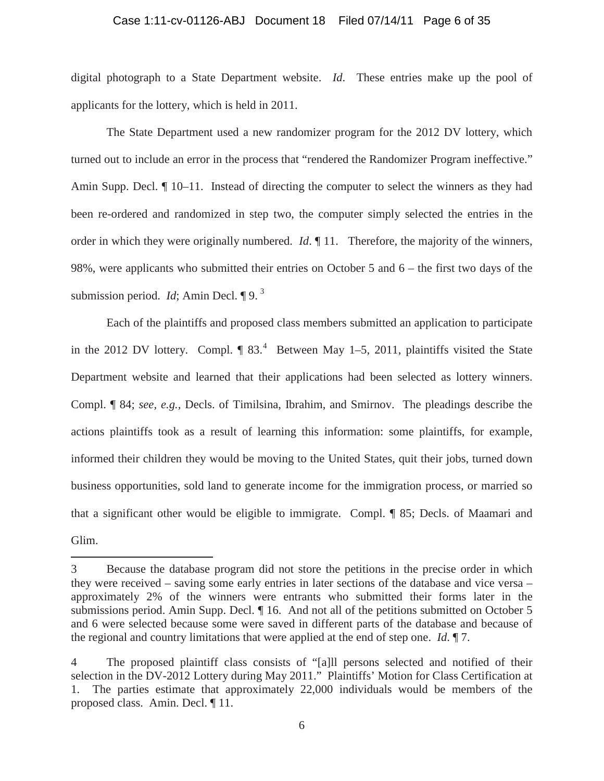# Case 1:11-cv-01126-ABJ Document 18 Filed 07/14/11 Page 6 of 35

digital photograph to a State Department website. *Id*. These entries make up the pool of applicants for the lottery, which is held in 2011.

The State Department used a new randomizer program for the 2012 DV lottery, which turned out to include an error in the process that "rendered the Randomizer Program ineffective." Amin Supp. Decl.  $\P$  10–11. Instead of directing the computer to select the winners as they had been re-ordered and randomized in step two, the computer simply selected the entries in the order in which they were originally numbered. *Id*. ¶ 11. Therefore, the majority of the winners, 98%, were applicants who submitted their entries on October 5 and 6 – the first two days of the submission period. *Id*: Amin Decl. **[9.** 3]

Each of the plaintiffs and proposed class members submitted an application to participate in the 2012 DV lottery. Compl.  $\parallel$  83.<sup>4</sup> Between May 1–5, 2011, plaintiffs visited the State Department website and learned that their applications had been selected as lottery winners. Compl. ¶ 84; *see, e.g.,* Decls. of Timilsina, Ibrahim, and Smirnov. The pleadings describe the actions plaintiffs took as a result of learning this information: some plaintiffs, for example, informed their children they would be moving to the United States, quit their jobs, turned down business opportunities, sold land to generate income for the immigration process, or married so that a significant other would be eligible to immigrate. Compl. ¶ 85; Decls. of Maamari and Glim.

<sup>3</sup> Because the database program did not store the petitions in the precise order in which they were received – saving some early entries in later sections of the database and vice versa – approximately 2% of the winners were entrants who submitted their forms later in the submissions period. Amin Supp. Decl.  $\P$  16. And not all of the petitions submitted on October 5 and 6 were selected because some were saved in different parts of the database and because of the regional and country limitations that were applied at the end of step one. *Id*. ¶ 7.

<sup>4</sup> The proposed plaintiff class consists of "[a]ll persons selected and notified of their selection in the DV-2012 Lottery during May 2011." Plaintiffs' Motion for Class Certification at 1. The parties estimate that approximately 22,000 individuals would be members of the proposed class. Amin. Decl. ¶ 11.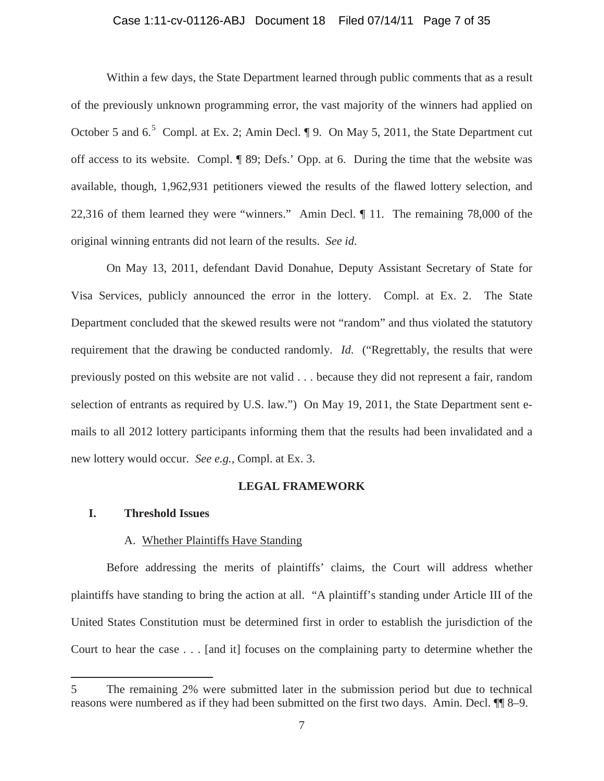# Case 1:11-cv-01126-ABJ Document 18 Filed 07/14/11 Page 7 of 35

Within a few days, the State Department learned through public comments that as a result of the previously unknown programming error, the vast majority of the winners had applied on October 5 and  $6.5$  Compl. at Ex. 2; Amin Decl.  $\P$  9. On May 5, 2011, the State Department cut off access to its website. Compl. ¶ 89; Defs.' Opp. at 6. During the time that the website was available, though, 1,962,931 petitioners viewed the results of the flawed lottery selection, and 22,316 of them learned they were "winners." Amin Decl. ¶ 11. The remaining 78,000 of the original winning entrants did not learn of the results. *See id*.

On May 13, 2011, defendant David Donahue, Deputy Assistant Secretary of State for Visa Services, publicly announced the error in the lottery. Compl. at Ex. 2. The State Department concluded that the skewed results were not "random" and thus violated the statutory requirement that the drawing be conducted randomly. *Id*. ("Regrettably, the results that were previously posted on this website are not valid . . . because they did not represent a fair, random selection of entrants as required by U.S. law.") On May 19, 2011, the State Department sent emails to all 2012 lottery participants informing them that the results had been invalidated and a new lottery would occur. *See e.g.,* Compl. at Ex. 3.

### **LEGAL FRAMEWORK**

### **I. Threshold Issues**

 $\overline{a}$ 

# A. Whether Plaintiffs Have Standing

Before addressing the merits of plaintiffs' claims, the Court will address whether plaintiffs have standing to bring the action at all. "A plaintiff's standing under Article III of the United States Constitution must be determined first in order to establish the jurisdiction of the Court to hear the case . . . [and it] focuses on the complaining party to determine whether the

<sup>5</sup> The remaining 2% were submitted later in the submission period but due to technical reasons were numbered as if they had been submitted on the first two days. Amin. Decl. ¶¶ 8–9.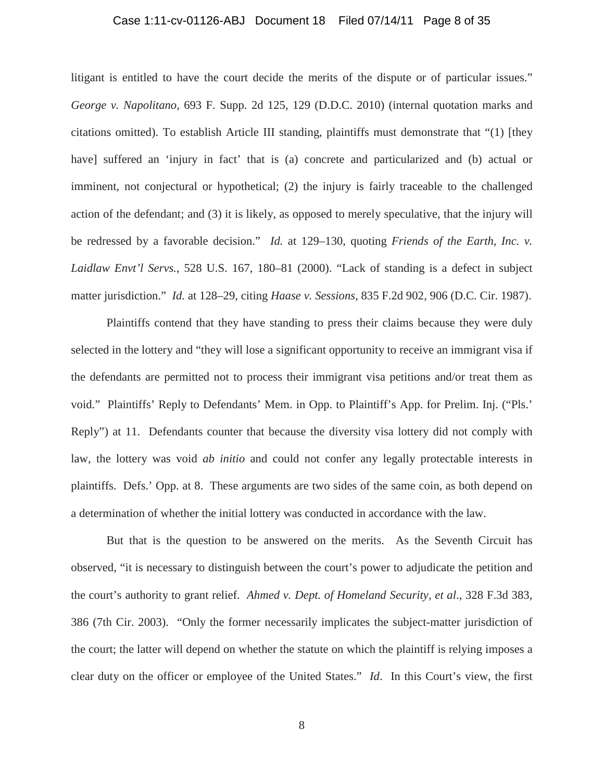# Case 1:11-cv-01126-ABJ Document 18 Filed 07/14/11 Page 8 of 35

litigant is entitled to have the court decide the merits of the dispute or of particular issues." *George v. Napolitano*, 693 F. Supp. 2d 125, 129 (D.D.C. 2010) (internal quotation marks and citations omitted). To establish Article III standing, plaintiffs must demonstrate that "(1) [they have] suffered an 'injury in fact' that is (a) concrete and particularized and (b) actual or imminent, not conjectural or hypothetical; (2) the injury is fairly traceable to the challenged action of the defendant; and (3) it is likely, as opposed to merely speculative, that the injury will be redressed by a favorable decision." *Id.* at 129–130, quoting *Friends of the Earth, Inc. v. Laidlaw Envt'l Servs.*, 528 U.S. 167, 180–81 (2000). "Lack of standing is a defect in subject matter jurisdiction." *Id.* at 128–29, citing *Haase v. Sessions*, 835 F.2d 902, 906 (D.C. Cir. 1987).

Plaintiffs contend that they have standing to press their claims because they were duly selected in the lottery and "they will lose a significant opportunity to receive an immigrant visa if the defendants are permitted not to process their immigrant visa petitions and/or treat them as void." Plaintiffs' Reply to Defendants' Mem. in Opp. to Plaintiff's App. for Prelim. Inj. ("Pls.' Reply") at 11. Defendants counter that because the diversity visa lottery did not comply with law, the lottery was void *ab initio* and could not confer any legally protectable interests in plaintiffs. Defs.' Opp. at 8. These arguments are two sides of the same coin, as both depend on a determination of whether the initial lottery was conducted in accordance with the law.

But that is the question to be answered on the merits. As the Seventh Circuit has observed, "it is necessary to distinguish between the court's power to adjudicate the petition and the court's authority to grant relief. *Ahmed v. Dept. of Homeland Security, et al*., 328 F.3d 383, 386 (7th Cir. 2003). "Only the former necessarily implicates the subject-matter jurisdiction of the court; the latter will depend on whether the statute on which the plaintiff is relying imposes a clear duty on the officer or employee of the United States." *Id*. In this Court's view, the first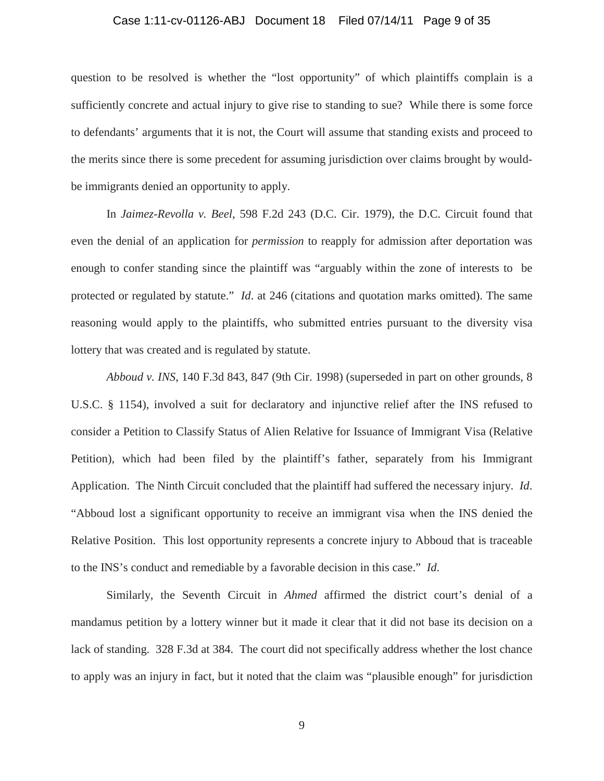## Case 1:11-cv-01126-ABJ Document 18 Filed 07/14/11 Page 9 of 35

question to be resolved is whether the "lost opportunity" of which plaintiffs complain is a sufficiently concrete and actual injury to give rise to standing to sue? While there is some force to defendants' arguments that it is not, the Court will assume that standing exists and proceed to the merits since there is some precedent for assuming jurisdiction over claims brought by wouldbe immigrants denied an opportunity to apply.

In *Jaimez-Revolla v. Beel*, 598 F.2d 243 (D.C. Cir. 1979), the D.C. Circuit found that even the denial of an application for *permission* to reapply for admission after deportation was enough to confer standing since the plaintiff was "arguably within the zone of interests to be protected or regulated by statute." *Id*. at 246 (citations and quotation marks omitted). The same reasoning would apply to the plaintiffs, who submitted entries pursuant to the diversity visa lottery that was created and is regulated by statute.

*Abboud v. INS*, 140 F.3d 843, 847 (9th Cir. 1998) (superseded in part on other grounds, 8 U.S.C. § 1154), involved a suit for declaratory and injunctive relief after the INS refused to consider a Petition to Classify Status of Alien Relative for Issuance of Immigrant Visa (Relative Petition), which had been filed by the plaintiff's father, separately from his Immigrant Application. The Ninth Circuit concluded that the plaintiff had suffered the necessary injury. *Id*. "Abboud lost a significant opportunity to receive an immigrant visa when the INS denied the Relative Position. This lost opportunity represents a concrete injury to Abboud that is traceable to the INS's conduct and remediable by a favorable decision in this case." *Id*.

Similarly, the Seventh Circuit in *Ahmed* affirmed the district court's denial of a mandamus petition by a lottery winner but it made it clear that it did not base its decision on a lack of standing. 328 F.3d at 384. The court did not specifically address whether the lost chance to apply was an injury in fact, but it noted that the claim was "plausible enough" for jurisdiction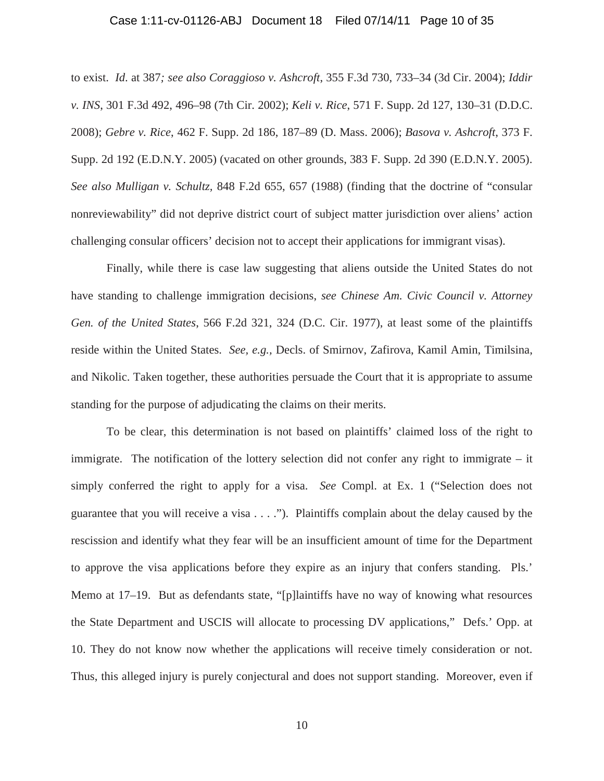# Case 1:11-cv-01126-ABJ Document 18 Filed 07/14/11 Page 10 of 35

to exist. *Id*. at 387*; see also Coraggioso v. Ashcroft*, 355 F.3d 730, 733–34 (3d Cir. 2004); *Iddir v. INS*, 301 F.3d 492, 496–98 (7th Cir. 2002); *Keli v. Rice*, 571 F. Supp. 2d 127, 130–31 (D.D.C. 2008); *Gebre v. Rice*, 462 F. Supp. 2d 186, 187–89 (D. Mass. 2006); *Basova v. Ashcroft*, 373 F. Supp. 2d 192 (E.D.N.Y. 2005) (vacated on other grounds, 383 F. Supp. 2d 390 (E.D.N.Y. 2005). *See also Mulligan v. Schultz,* 848 F.2d 655, 657 (1988) (finding that the doctrine of "consular nonreviewability" did not deprive district court of subject matter jurisdiction over aliens' action challenging consular officers' decision not to accept their applications for immigrant visas).

Finally, while there is case law suggesting that aliens outside the United States do not have standing to challenge immigration decisions, *see Chinese Am. Civic Council v. Attorney Gen. of the United States*, 566 F.2d 321, 324 (D.C. Cir. 1977), at least some of the plaintiffs reside within the United States. *See, e.g.,* Decls. of Smirnov, Zafirova, Kamil Amin, Timilsina, and Nikolic. Taken together, these authorities persuade the Court that it is appropriate to assume standing for the purpose of adjudicating the claims on their merits.

To be clear, this determination is not based on plaintiffs' claimed loss of the right to immigrate. The notification of the lottery selection did not confer any right to immigrate – it simply conferred the right to apply for a visa. *See* Compl. at Ex. 1 ("Selection does not guarantee that you will receive a visa . . . ."). Plaintiffs complain about the delay caused by the rescission and identify what they fear will be an insufficient amount of time for the Department to approve the visa applications before they expire as an injury that confers standing. Pls.' Memo at 17–19. But as defendants state, "[p]laintiffs have no way of knowing what resources the State Department and USCIS will allocate to processing DV applications," Defs.' Opp. at 10. They do not know now whether the applications will receive timely consideration or not. Thus, this alleged injury is purely conjectural and does not support standing. Moreover, even if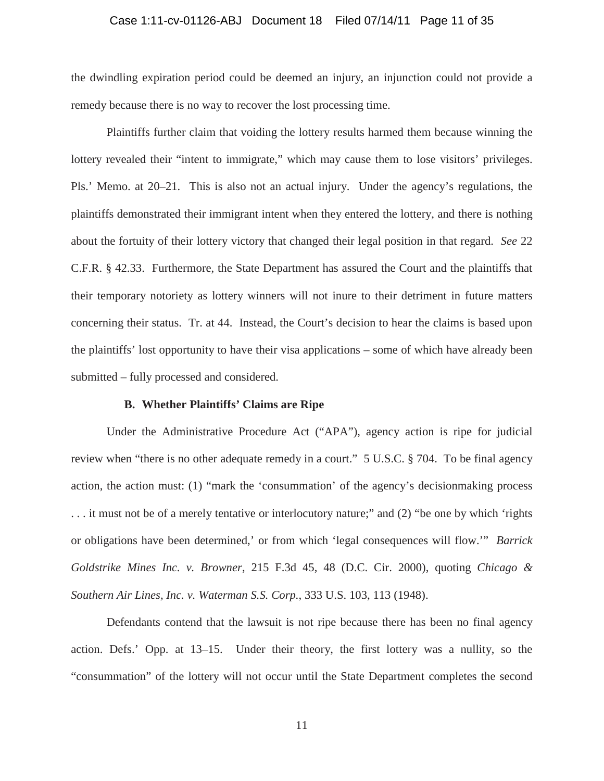## Case 1:11-cv-01126-ABJ Document 18 Filed 07/14/11 Page 11 of 35

the dwindling expiration period could be deemed an injury, an injunction could not provide a remedy because there is no way to recover the lost processing time.

Plaintiffs further claim that voiding the lottery results harmed them because winning the lottery revealed their "intent to immigrate," which may cause them to lose visitors' privileges. Pls.' Memo. at 20–21. This is also not an actual injury. Under the agency's regulations, the plaintiffs demonstrated their immigrant intent when they entered the lottery, and there is nothing about the fortuity of their lottery victory that changed their legal position in that regard. *See* 22 C.F.R. § 42.33. Furthermore, the State Department has assured the Court and the plaintiffs that their temporary notoriety as lottery winners will not inure to their detriment in future matters concerning their status. Tr. at 44. Instead, the Court's decision to hear the claims is based upon the plaintiffs' lost opportunity to have their visa applications – some of which have already been submitted – fully processed and considered.

### **B. Whether Plaintiffs' Claims are Ripe**

Under the Administrative Procedure Act ("APA"), agency action is ripe for judicial review when "there is no other adequate remedy in a court." 5 U.S.C. § 704. To be final agency action, the action must: (1) "mark the 'consummation' of the agency's decisionmaking process . . . it must not be of a merely tentative or interlocutory nature;" and (2) "be one by which 'rights or obligations have been determined,' or from which 'legal consequences will flow.'" *Barrick Goldstrike Mines Inc. v. Browner*, 215 F.3d 45, 48 (D.C. Cir. 2000), quoting *Chicago & Southern Air Lines, Inc. v. Waterman S.S. Corp.*, 333 U.S. 103, 113 (1948).

Defendants contend that the lawsuit is not ripe because there has been no final agency action. Defs.' Opp. at 13–15. Under their theory, the first lottery was a nullity, so the "consummation" of the lottery will not occur until the State Department completes the second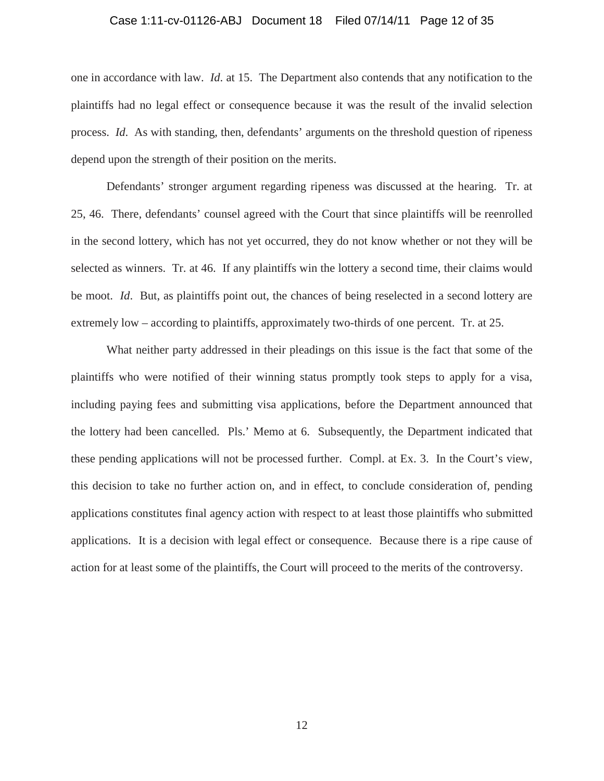## Case 1:11-cv-01126-ABJ Document 18 Filed 07/14/11 Page 12 of 35

one in accordance with law. *Id*. at 15. The Department also contends that any notification to the plaintiffs had no legal effect or consequence because it was the result of the invalid selection process. *Id*. As with standing, then, defendants' arguments on the threshold question of ripeness depend upon the strength of their position on the merits.

Defendants' stronger argument regarding ripeness was discussed at the hearing. Tr. at 25, 46. There, defendants' counsel agreed with the Court that since plaintiffs will be reenrolled in the second lottery, which has not yet occurred, they do not know whether or not they will be selected as winners. Tr. at 46. If any plaintiffs win the lottery a second time, their claims would be moot. *Id*. But, as plaintiffs point out, the chances of being reselected in a second lottery are extremely low – according to plaintiffs, approximately two-thirds of one percent. Tr. at 25.

What neither party addressed in their pleadings on this issue is the fact that some of the plaintiffs who were notified of their winning status promptly took steps to apply for a visa, including paying fees and submitting visa applications, before the Department announced that the lottery had been cancelled. Pls.' Memo at 6. Subsequently, the Department indicated that these pending applications will not be processed further. Compl. at Ex. 3. In the Court's view, this decision to take no further action on, and in effect, to conclude consideration of, pending applications constitutes final agency action with respect to at least those plaintiffs who submitted applications. It is a decision with legal effect or consequence. Because there is a ripe cause of action for at least some of the plaintiffs, the Court will proceed to the merits of the controversy.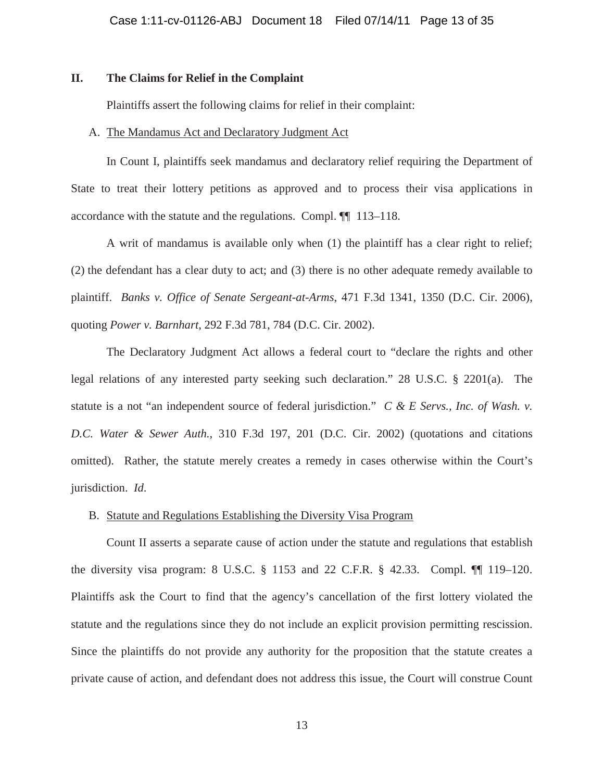# **II. The Claims for Relief in the Complaint**

Plaintiffs assert the following claims for relief in their complaint:

# A. The Mandamus Act and Declaratory Judgment Act

In Count I, plaintiffs seek mandamus and declaratory relief requiring the Department of State to treat their lottery petitions as approved and to process their visa applications in accordance with the statute and the regulations. Compl. ¶¶ 113–118.

A writ of mandamus is available only when (1) the plaintiff has a clear right to relief; (2) the defendant has a clear duty to act; and (3) there is no other adequate remedy available to plaintiff. *Banks v. Office of Senate Sergeant-at-Arms*, 471 F.3d 1341, 1350 (D.C. Cir. 2006), quoting *Power v. Barnhart*, 292 F.3d 781, 784 (D.C. Cir. 2002).

The Declaratory Judgment Act allows a federal court to "declare the rights and other legal relations of any interested party seeking such declaration." 28 U.S.C. § 2201(a). The statute is a not "an independent source of federal jurisdiction." *C & E Servs., Inc. of Wash. v. D.C. Water & Sewer Auth.*, 310 F.3d 197, 201 (D.C. Cir. 2002) (quotations and citations omitted). Rather, the statute merely creates a remedy in cases otherwise within the Court's jurisdiction. *Id*.

# B. Statute and Regulations Establishing the Diversity Visa Program

Count II asserts a separate cause of action under the statute and regulations that establish the diversity visa program: 8 U.S.C. § 1153 and 22 C.F.R. § 42.33. Compl. ¶¶ 119–120. Plaintiffs ask the Court to find that the agency's cancellation of the first lottery violated the statute and the regulations since they do not include an explicit provision permitting rescission. Since the plaintiffs do not provide any authority for the proposition that the statute creates a private cause of action, and defendant does not address this issue, the Court will construe Count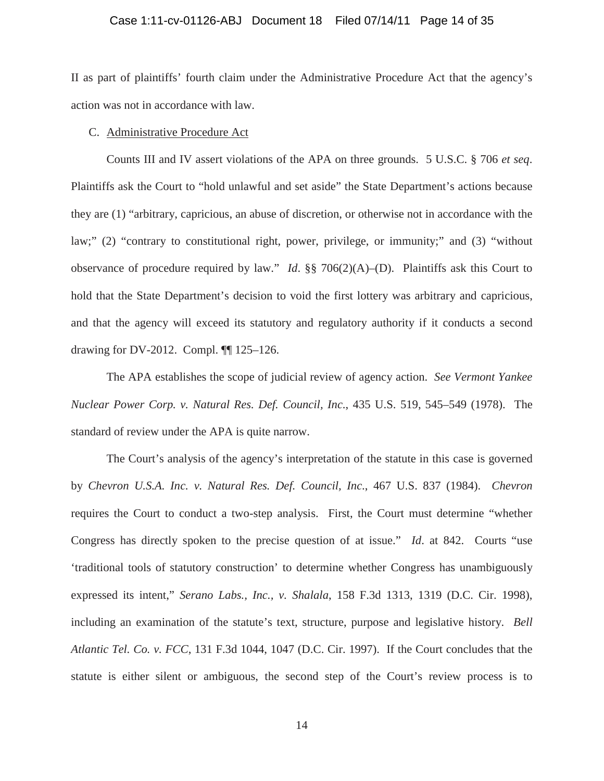## Case 1:11-cv-01126-ABJ Document 18 Filed 07/14/11 Page 14 of 35

II as part of plaintiffs' fourth claim under the Administrative Procedure Act that the agency's action was not in accordance with law.

# C. Administrative Procedure Act

Counts III and IV assert violations of the APA on three grounds. 5 U.S.C. § 706 *et seq*. Plaintiffs ask the Court to "hold unlawful and set aside" the State Department's actions because they are (1) "arbitrary, capricious, an abuse of discretion, or otherwise not in accordance with the law;" (2) "contrary to constitutional right, power, privilege, or immunity;" and (3) "without observance of procedure required by law." *Id*. §§ 706(2)(A)–(D). Plaintiffs ask this Court to hold that the State Department's decision to void the first lottery was arbitrary and capricious, and that the agency will exceed its statutory and regulatory authority if it conducts a second drawing for DV-2012. Compl. ¶¶ 125–126.

The APA establishes the scope of judicial review of agency action. *See Vermont Yankee Nuclear Power Corp. v. Natural Res. Def. Council, Inc*., 435 U.S. 519, 545–549 (1978). The standard of review under the APA is quite narrow.

The Court's analysis of the agency's interpretation of the statute in this case is governed by *Chevron U.S.A. Inc. v. Natural Res. Def. Council, Inc*., 467 U.S. 837 (1984). *Chevron* requires the Court to conduct a two-step analysis. First, the Court must determine "whether Congress has directly spoken to the precise question of at issue." *Id*. at 842. Courts "use 'traditional tools of statutory construction' to determine whether Congress has unambiguously expressed its intent," *Serano Labs., Inc., v. Shalala*, 158 F.3d 1313, 1319 (D.C. Cir. 1998), including an examination of the statute's text, structure, purpose and legislative history. *Bell Atlantic Tel. Co. v. FCC*, 131 F.3d 1044, 1047 (D.C. Cir. 1997). If the Court concludes that the statute is either silent or ambiguous, the second step of the Court's review process is to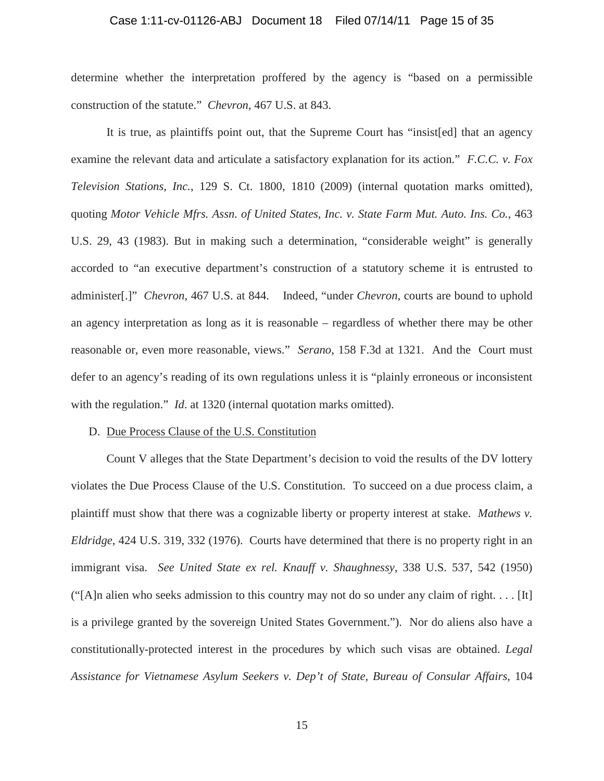# Case 1:11-cv-01126-ABJ Document 18 Filed 07/14/11 Page 15 of 35

determine whether the interpretation proffered by the agency is "based on a permissible construction of the statute." *Chevron*, 467 U.S. at 843.

It is true, as plaintiffs point out, that the Supreme Court has "insist[ed] that an agency examine the relevant data and articulate a satisfactory explanation for its action." *F.C.C. v. Fox Television Stations, Inc.*, 129 S. Ct. 1800, 1810 (2009) (internal quotation marks omitted), quoting *Motor Vehicle Mfrs. Assn. of United States, Inc. v. State Farm Mut. Auto. Ins. Co.*, 463 U.S. 29, 43 (1983). But in making such a determination, "considerable weight" is generally accorded to "an executive department's construction of a statutory scheme it is entrusted to administer[.]" *Chevron*, 467 U.S. at 844. Indeed, "under *Chevron*, courts are bound to uphold an agency interpretation as long as it is reasonable – regardless of whether there may be other reasonable or, even more reasonable, views." *Serano*, 158 F.3d at 1321. And the Court must defer to an agency's reading of its own regulations unless it is "plainly erroneous or inconsistent with the regulation." *Id.* at 1320 (internal quotation marks omitted).

#### D. Due Process Clause of the U.S. Constitution

Count V alleges that the State Department's decision to void the results of the DV lottery violates the Due Process Clause of the U.S. Constitution. To succeed on a due process claim, a plaintiff must show that there was a cognizable liberty or property interest at stake. *Mathews v. Eldridge*, 424 U.S. 319, 332 (1976). Courts have determined that there is no property right in an immigrant visa. *See United State ex rel. Knauff v. Shaughnessy*, 338 U.S. 537, 542 (1950) ("[A]n alien who seeks admission to this country may not do so under any claim of right.... [It] is a privilege granted by the sovereign United States Government."). Nor do aliens also have a constitutionally-protected interest in the procedures by which such visas are obtained. *Legal Assistance for Vietnamese Asylum Seekers v. Dep't of State, Bureau of Consular Affairs*, 104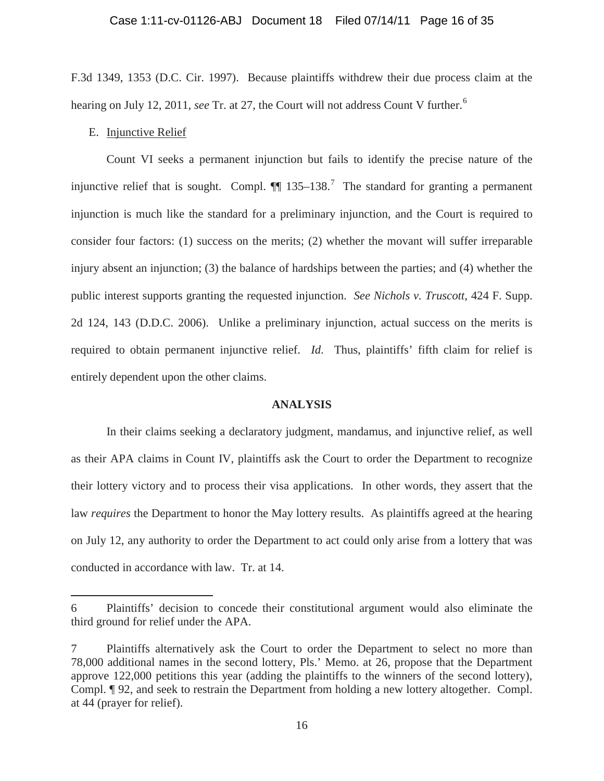F.3d 1349, 1353 (D.C. Cir. 1997). Because plaintiffs withdrew their due process claim at the hearing on July 12, 2011, *see* Tr. at 27, the Court will not address Count V further.<sup>6</sup>

# E. Injunctive Relief

 $\overline{a}$ 

Count VI seeks a permanent injunction but fails to identify the precise nature of the injunctive relief that is sought. Compl.  $\P\P$  135–138.<sup>7</sup> The standard for granting a permanent injunction is much like the standard for a preliminary injunction, and the Court is required to consider four factors: (1) success on the merits; (2) whether the movant will suffer irreparable injury absent an injunction; (3) the balance of hardships between the parties; and (4) whether the public interest supports granting the requested injunction. *See Nichols v. Truscott*, 424 F. Supp. 2d 124, 143 (D.D.C. 2006). Unlike a preliminary injunction, actual success on the merits is required to obtain permanent injunctive relief. *Id*. Thus, plaintiffs' fifth claim for relief is entirely dependent upon the other claims.

### **ANALYSIS**

In their claims seeking a declaratory judgment, mandamus, and injunctive relief, as well as their APA claims in Count IV, plaintiffs ask the Court to order the Department to recognize their lottery victory and to process their visa applications. In other words, they assert that the law *requires* the Department to honor the May lottery results. As plaintiffs agreed at the hearing on July 12, any authority to order the Department to act could only arise from a lottery that was conducted in accordance with law. Tr. at 14.

<sup>6</sup> Plaintiffs' decision to concede their constitutional argument would also eliminate the third ground for relief under the APA.

<sup>7</sup> Plaintiffs alternatively ask the Court to order the Department to select no more than 78,000 additional names in the second lottery, Pls.' Memo. at 26, propose that the Department approve 122,000 petitions this year (adding the plaintiffs to the winners of the second lottery), Compl. ¶ 92, and seek to restrain the Department from holding a new lottery altogether. Compl. at 44 (prayer for relief).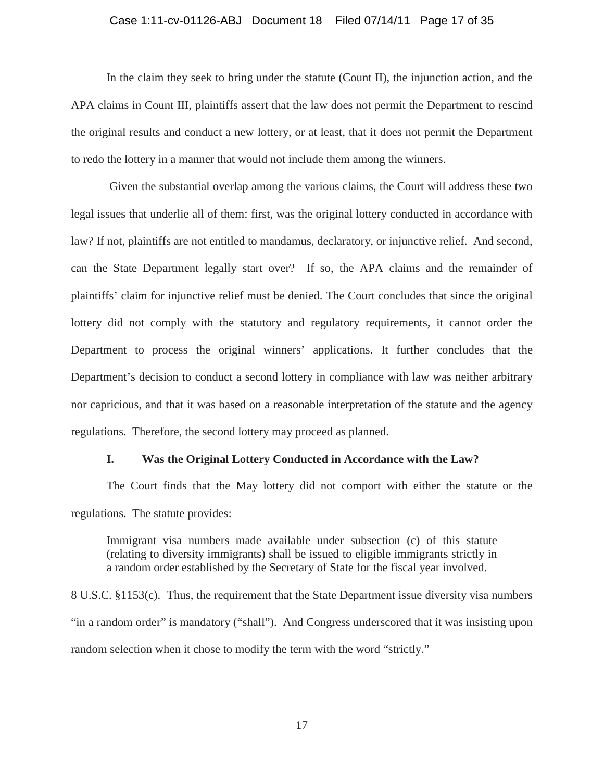# Case 1:11-cv-01126-ABJ Document 18 Filed 07/14/11 Page 17 of 35

In the claim they seek to bring under the statute (Count II)*,* the injunction action, and the APA claims in Count III, plaintiffs assert that the law does not permit the Department to rescind the original results and conduct a new lottery, or at least, that it does not permit the Department to redo the lottery in a manner that would not include them among the winners.

Given the substantial overlap among the various claims, the Court will address these two legal issues that underlie all of them: first, was the original lottery conducted in accordance with law? If not, plaintiffs are not entitled to mandamus, declaratory, or injunctive relief. And second, can the State Department legally start over? If so, the APA claims and the remainder of plaintiffs' claim for injunctive relief must be denied. The Court concludes that since the original lottery did not comply with the statutory and regulatory requirements, it cannot order the Department to process the original winners' applications. It further concludes that the Department's decision to conduct a second lottery in compliance with law was neither arbitrary nor capricious, and that it was based on a reasonable interpretation of the statute and the agency regulations. Therefore, the second lottery may proceed as planned.

#### **I. Was the Original Lottery Conducted in Accordance with the Law?**

The Court finds that the May lottery did not comport with either the statute or the regulations. The statute provides:

Immigrant visa numbers made available under subsection (c) of this statute (relating to diversity immigrants) shall be issued to eligible immigrants strictly in a random order established by the Secretary of State for the fiscal year involved.

8 U.S.C. §1153(c). Thus, the requirement that the State Department issue diversity visa numbers "in a random order" is mandatory ("shall"). And Congress underscored that it was insisting upon random selection when it chose to modify the term with the word "strictly."

17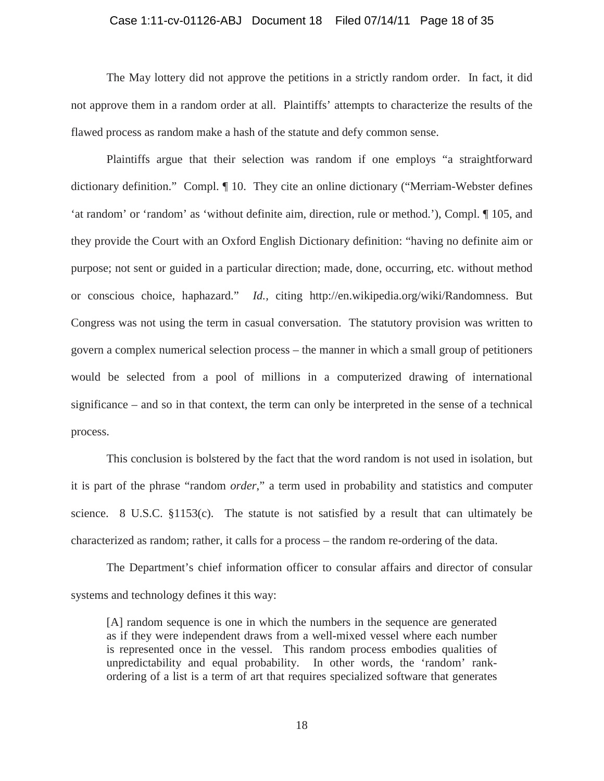# Case 1:11-cv-01126-ABJ Document 18 Filed 07/14/11 Page 18 of 35

The May lottery did not approve the petitions in a strictly random order. In fact, it did not approve them in a random order at all. Plaintiffs' attempts to characterize the results of the flawed process as random make a hash of the statute and defy common sense.

Plaintiffs argue that their selection was random if one employs "a straightforward dictionary definition." Compl. ¶ 10. They cite an online dictionary ("Merriam-Webster defines 'at random' or 'random' as 'without definite aim, direction, rule or method.'), Compl. ¶ 105, and they provide the Court with an Oxford English Dictionary definition: "having no definite aim or purpose; not sent or guided in a particular direction; made, done, occurring, etc. without method or conscious choice, haphazard." *Id.,* citing http://en.wikipedia.org/wiki/Randomness. But Congress was not using the term in casual conversation. The statutory provision was written to govern a complex numerical selection process – the manner in which a small group of petitioners would be selected from a pool of millions in a computerized drawing of international significance – and so in that context, the term can only be interpreted in the sense of a technical process.

This conclusion is bolstered by the fact that the word random is not used in isolation, but it is part of the phrase "random *order*," a term used in probability and statistics and computer science. 8 U.S.C. §1153(c). The statute is not satisfied by a result that can ultimately be characterized as random; rather, it calls for a process – the random re-ordering of the data.

The Department's chief information officer to consular affairs and director of consular systems and technology defines it this way:

[A] random sequence is one in which the numbers in the sequence are generated as if they were independent draws from a well-mixed vessel where each number is represented once in the vessel. This random process embodies qualities of unpredictability and equal probability. In other words, the 'random' rankordering of a list is a term of art that requires specialized software that generates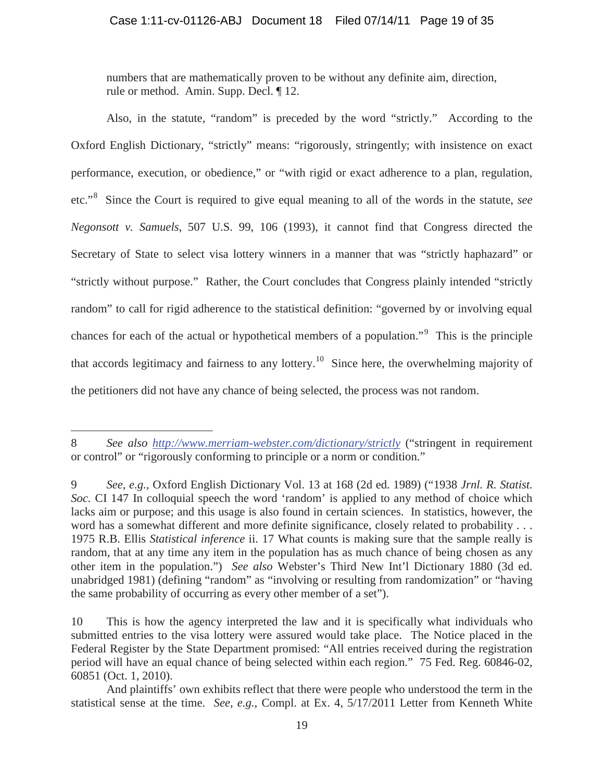numbers that are mathematically proven to be without any definite aim, direction, rule or method. Amin. Supp. Decl. ¶ 12.

Also, in the statute, "random" is preceded by the word "strictly." According to the Oxford English Dictionary, "strictly" means: "rigorously, stringently; with insistence on exact performance, execution, or obedience," or "with rigid or exact adherence to a plan, regulation, etc."<sup>8</sup> Since the Court is required to give equal meaning to all of the words in the statute, *see Negonsott v. Samuels*, 507 U.S. 99, 106 (1993), it cannot find that Congress directed the Secretary of State to select visa lottery winners in a manner that was "strictly haphazard" or "strictly without purpose." Rather, the Court concludes that Congress plainly intended "strictly random" to call for rigid adherence to the statistical definition: "governed by or involving equal chances for each of the actual or hypothetical members of a population."<sup>9</sup> This is the principle that accords legitimacy and fairness to any lottery.<sup>10</sup> Since here, the overwhelming majority of the petitioners did not have any chance of being selected, the process was not random.

<sup>8</sup> *See also http://www.merriam-webster.com/dictionary/strictly* ("stringent in requirement or control" or "rigorously conforming to principle or a norm or condition."

<sup>9</sup> *See, e.g.,* Oxford English Dictionary Vol. 13 at 168 (2d ed. 1989) ("1938 *Jrnl. R. Statist. Soc.* CI 147 In colloquial speech the word 'random' is applied to any method of choice which lacks aim or purpose; and this usage is also found in certain sciences. In statistics, however, the word has a somewhat different and more definite significance, closely related to probability . . . 1975 R.B. Ellis *Statistical inference* ii. 17 What counts is making sure that the sample really is random, that at any time any item in the population has as much chance of being chosen as any other item in the population.") *See also* Webster's Third New Int'l Dictionary 1880 (3d ed. unabridged 1981) (defining "random" as "involving or resulting from randomization" or "having the same probability of occurring as every other member of a set").

<sup>10</sup> This is how the agency interpreted the law and it is specifically what individuals who submitted entries to the visa lottery were assured would take place. The Notice placed in the Federal Register by the State Department promised: "All entries received during the registration period will have an equal chance of being selected within each region." 75 Fed. Reg. 60846-02, 60851 (Oct. 1, 2010).

And plaintiffs' own exhibits reflect that there were people who understood the term in the statistical sense at the time. *See, e.g.,* Compl. at Ex. 4, 5/17/2011 Letter from Kenneth White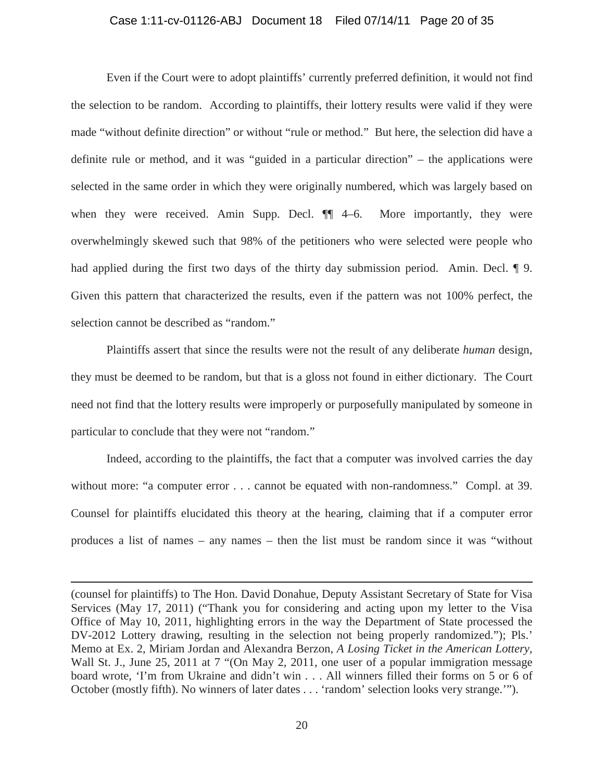# Case 1:11-cv-01126-ABJ Document 18 Filed 07/14/11 Page 20 of 35

Even if the Court were to adopt plaintiffs' currently preferred definition, it would not find the selection to be random. According to plaintiffs, their lottery results were valid if they were made "without definite direction" or without "rule or method." But here, the selection did have a definite rule or method, and it was "guided in a particular direction" – the applications were selected in the same order in which they were originally numbered, which was largely based on when they were received. Amin Supp. Decl.  $\P$  4–6. More importantly, they were overwhelmingly skewed such that 98% of the petitioners who were selected were people who had applied during the first two days of the thirty day submission period. Amin. Decl. ¶ 9. Given this pattern that characterized the results, even if the pattern was not 100% perfect, the selection cannot be described as "random."

Plaintiffs assert that since the results were not the result of any deliberate *human* design, they must be deemed to be random, but that is a gloss not found in either dictionary. The Court need not find that the lottery results were improperly or purposefully manipulated by someone in particular to conclude that they were not "random."

Indeed, according to the plaintiffs, the fact that a computer was involved carries the day without more: "a computer error . . . cannot be equated with non-randomness." Compl. at 39. Counsel for plaintiffs elucidated this theory at the hearing, claiming that if a computer error produces a list of names – any names – then the list must be random since it was "without

(counsel for plaintiffs) to The Hon. David Donahue, Deputy Assistant Secretary of State for Visa Services (May 17, 2011) ("Thank you for considering and acting upon my letter to the Visa Office of May 10, 2011, highlighting errors in the way the Department of State processed the DV-2012 Lottery drawing, resulting in the selection not being properly randomized."); Pls.' Memo at Ex. 2, Miriam Jordan and Alexandra Berzon, *A Losing Ticket in the American Lottery*, Wall St. J., June 25, 2011 at 7 "(On May 2, 2011, one user of a popular immigration message board wrote, 'I'm from Ukraine and didn't win . . . All winners filled their forms on 5 or 6 of October (mostly fifth). No winners of later dates . . . 'random' selection looks very strange.'").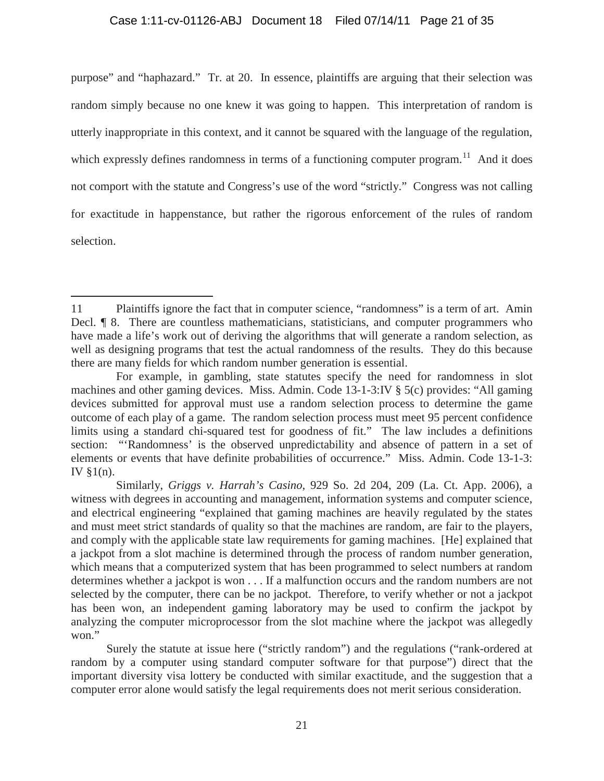# Case 1:11-cv-01126-ABJ Document 18 Filed 07/14/11 Page 21 of 35

purpose" and "haphazard." Tr. at 20. In essence, plaintiffs are arguing that their selection was random simply because no one knew it was going to happen. This interpretation of random is utterly inappropriate in this context, and it cannot be squared with the language of the regulation, which expressly defines randomness in terms of a functioning computer program.<sup>11</sup> And it does not comport with the statute and Congress's use of the word "strictly." Congress was not calling for exactitude in happenstance, but rather the rigorous enforcement of the rules of random selection.

<sup>11</sup> Plaintiffs ignore the fact that in computer science, "randomness" is a term of art. Amin Decl. **¶** 8. There are countless mathematicians, statisticians, and computer programmers who have made a life's work out of deriving the algorithms that will generate a random selection, as well as designing programs that test the actual randomness of the results. They do this because there are many fields for which random number generation is essential.

For example, in gambling, state statutes specify the need for randomness in slot machines and other gaming devices. Miss. Admin. Code 13-1-3:IV § 5(c) provides: "All gaming devices submitted for approval must use a random selection process to determine the game outcome of each play of a game. The random selection process must meet 95 percent confidence limits using a standard chi-squared test for goodness of fit." The law includes a definitions section: "'Randomness' is the observed unpredictability and absence of pattern in a set of elements or events that have definite probabilities of occurrence." Miss. Admin. Code 13-1-3: IV §1(n).

Similarly, *Griggs v. Harrah's Casino*, 929 So. 2d 204, 209 (La. Ct. App. 2006), a witness with degrees in accounting and management, information systems and computer science, and electrical engineering "explained that gaming machines are heavily regulated by the states and must meet strict standards of quality so that the machines are random, are fair to the players, and comply with the applicable state law requirements for gaming machines. [He] explained that a jackpot from a slot machine is determined through the process of random number generation, which means that a computerized system that has been programmed to select numbers at random determines whether a jackpot is won . . . If a malfunction occurs and the random numbers are not selected by the computer, there can be no jackpot. Therefore, to verify whether or not a jackpot has been won, an independent gaming laboratory may be used to confirm the jackpot by analyzing the computer microprocessor from the slot machine where the jackpot was allegedly won."

Surely the statute at issue here ("strictly random") and the regulations ("rank-ordered at random by a computer using standard computer software for that purpose") direct that the important diversity visa lottery be conducted with similar exactitude, and the suggestion that a computer error alone would satisfy the legal requirements does not merit serious consideration.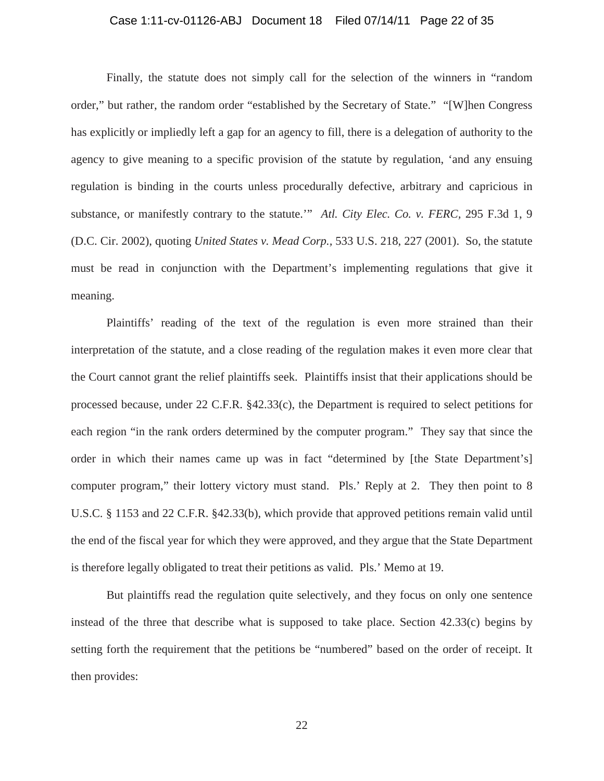# Case 1:11-cv-01126-ABJ Document 18 Filed 07/14/11 Page 22 of 35

Finally, the statute does not simply call for the selection of the winners in "random order," but rather, the random order "established by the Secretary of State." "[W]hen Congress has explicitly or impliedly left a gap for an agency to fill, there is a delegation of authority to the agency to give meaning to a specific provision of the statute by regulation, 'and any ensuing regulation is binding in the courts unless procedurally defective, arbitrary and capricious in substance, or manifestly contrary to the statute.'" *Atl. City Elec. Co. v. FERC,* 295 F.3d 1, 9 (D.C. Cir. 2002), quoting *United States v. Mead Corp.,* 533 U.S. 218, 227 (2001). So, the statute must be read in conjunction with the Department's implementing regulations that give it meaning.

Plaintiffs' reading of the text of the regulation is even more strained than their interpretation of the statute, and a close reading of the regulation makes it even more clear that the Court cannot grant the relief plaintiffs seek. Plaintiffs insist that their applications should be processed because, under 22 C.F.R. §42.33(c), the Department is required to select petitions for each region "in the rank orders determined by the computer program." They say that since the order in which their names came up was in fact "determined by [the State Department's] computer program," their lottery victory must stand. Pls.' Reply at 2. They then point to 8 U.S.C. § 1153 and 22 C.F.R. §42.33(b), which provide that approved petitions remain valid until the end of the fiscal year for which they were approved, and they argue that the State Department is therefore legally obligated to treat their petitions as valid. Pls.' Memo at 19.

But plaintiffs read the regulation quite selectively, and they focus on only one sentence instead of the three that describe what is supposed to take place. Section 42.33(c) begins by setting forth the requirement that the petitions be "numbered" based on the order of receipt. It then provides:

22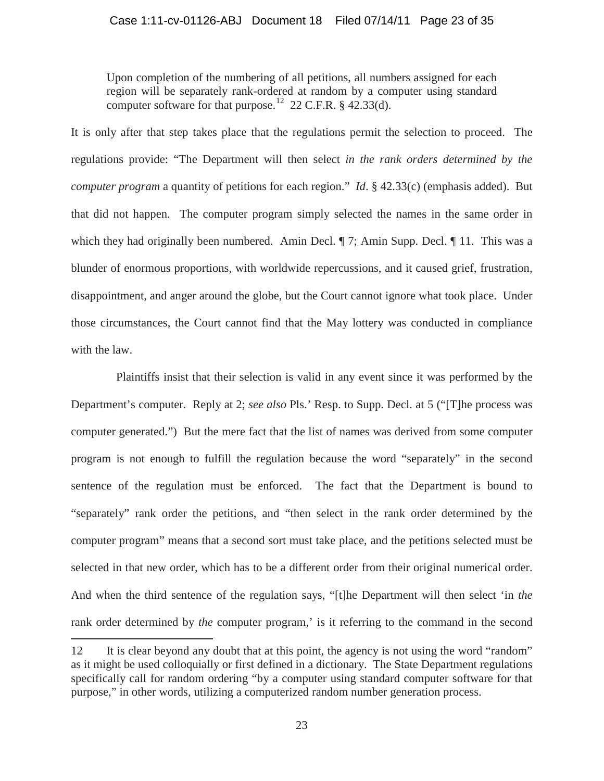Upon completion of the numbering of all petitions, all numbers assigned for each region will be separately rank-ordered at random by a computer using standard computer software for that purpose.<sup>12</sup> 22 C.F.R. § 42.33(d).

It is only after that step takes place that the regulations permit the selection to proceed. The regulations provide: "The Department will then select *in the rank orders determined by the computer program* a quantity of petitions for each region." *Id*. § 42.33(c) (emphasis added). But that did not happen. The computer program simply selected the names in the same order in which they had originally been numbered. Amin Decl.  $\parallel$  7; Amin Supp. Decl.  $\parallel$  11. This was a blunder of enormous proportions, with worldwide repercussions, and it caused grief, frustration, disappointment, and anger around the globe, but the Court cannot ignore what took place. Under those circumstances, the Court cannot find that the May lottery was conducted in compliance with the law.

Plaintiffs insist that their selection is valid in any event since it was performed by the Department's computer. Reply at 2; *see also* Pls.' Resp. to Supp. Decl. at 5 ("[T]he process was computer generated.") But the mere fact that the list of names was derived from some computer program is not enough to fulfill the regulation because the word "separately" in the second sentence of the regulation must be enforced. The fact that the Department is bound to "separately" rank order the petitions, and "then select in the rank order determined by the computer program" means that a second sort must take place, and the petitions selected must be selected in that new order, which has to be a different order from their original numerical order. And when the third sentence of the regulation says, "[t]he Department will then select 'in *the* rank order determined by *the* computer program,' is it referring to the command in the second

<sup>12</sup> It is clear beyond any doubt that at this point, the agency is not using the word "random" as it might be used colloquially or first defined in a dictionary. The State Department regulations specifically call for random ordering "by a computer using standard computer software for that purpose," in other words, utilizing a computerized random number generation process.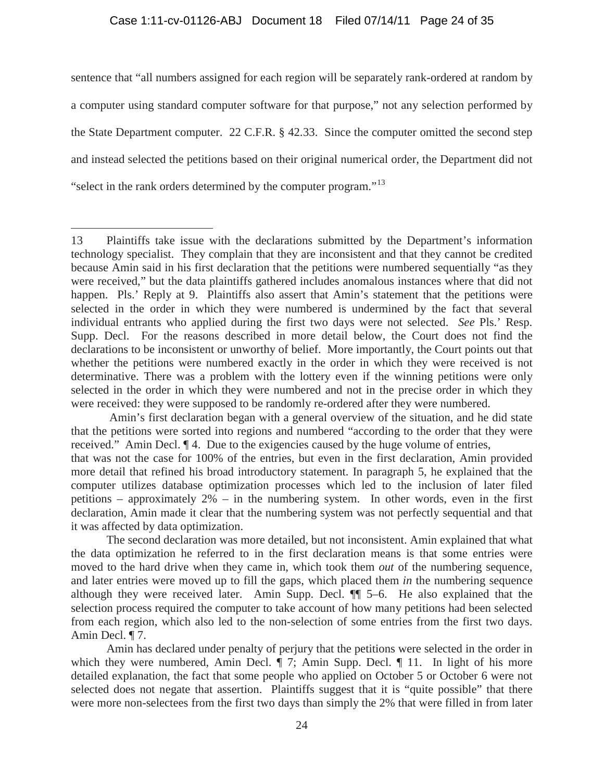# Case 1:11-cv-01126-ABJ Document 18 Filed 07/14/11 Page 24 of 35

sentence that "all numbers assigned for each region will be separately rank-ordered at random by a computer using standard computer software for that purpose," not any selection performed by the State Department computer. 22 C.F.R. § 42.33. Since the computer omitted the second step and instead selected the petitions based on their original numerical order, the Department did not "select in the rank orders determined by the computer program."<sup>13</sup>

<sup>13</sup> Plaintiffs take issue with the declarations submitted by the Department's information technology specialist. They complain that they are inconsistent and that they cannot be credited because Amin said in his first declaration that the petitions were numbered sequentially "as they were received," but the data plaintiffs gathered includes anomalous instances where that did not happen. Pls.' Reply at 9. Plaintiffs also assert that Amin's statement that the petitions were selected in the order in which they were numbered is undermined by the fact that several individual entrants who applied during the first two days were not selected. *See* Pls.' Resp. Supp. Decl. For the reasons described in more detail below, the Court does not find the declarations to be inconsistent or unworthy of belief. More importantly, the Court points out that whether the petitions were numbered exactly in the order in which they were received is not determinative. There was a problem with the lottery even if the winning petitions were only selected in the order in which they were numbered and not in the precise order in which they were received: they were supposed to be randomly re-ordered after they were numbered.

Amin's first declaration began with a general overview of the situation, and he did state that the petitions were sorted into regions and numbered "according to the order that they were received." Amin Decl. ¶ 4. Due to the exigencies caused by the huge volume of entries,

that was not the case for 100% of the entries, but even in the first declaration, Amin provided more detail that refined his broad introductory statement. In paragraph 5, he explained that the computer utilizes database optimization processes which led to the inclusion of later filed petitions – approximately 2% – in the numbering system. In other words, even in the first declaration, Amin made it clear that the numbering system was not perfectly sequential and that it was affected by data optimization.

The second declaration was more detailed, but not inconsistent. Amin explained that what the data optimization he referred to in the first declaration means is that some entries were moved to the hard drive when they came in, which took them *out* of the numbering sequence, and later entries were moved up to fill the gaps, which placed them *in* the numbering sequence although they were received later. Amin Supp. Decl. ¶¶ 5–6. He also explained that the selection process required the computer to take account of how many petitions had been selected from each region, which also led to the non-selection of some entries from the first two days. Amin Decl. ¶ 7.

Amin has declared under penalty of perjury that the petitions were selected in the order in which they were numbered, Amin Decl.  $\P$  7; Amin Supp. Decl.  $\P$  11. In light of his more detailed explanation, the fact that some people who applied on October 5 or October 6 were not selected does not negate that assertion. Plaintiffs suggest that it is "quite possible" that there were more non-selectees from the first two days than simply the 2% that were filled in from later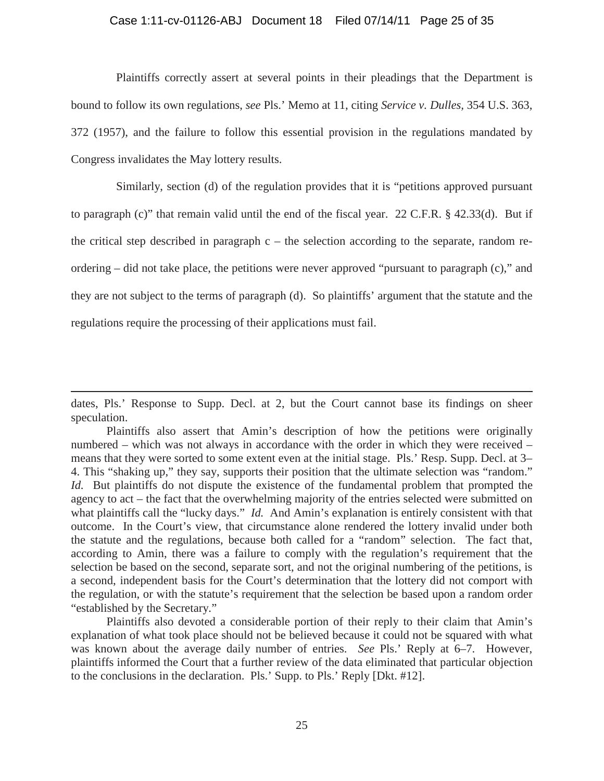# Case 1:11-cv-01126-ABJ Document 18 Filed 07/14/11 Page 25 of 35

Plaintiffs correctly assert at several points in their pleadings that the Department is bound to follow its own regulations, *see* Pls.' Memo at 11, citing *Service v. Dulles,* 354 U.S. 363, 372 (1957), and the failure to follow this essential provision in the regulations mandated by Congress invalidates the May lottery results.

Similarly, section (d) of the regulation provides that it is "petitions approved pursuant to paragraph (c)" that remain valid until the end of the fiscal year. 22 C.F.R.  $\S$  42.33(d). But if the critical step described in paragraph  $c -$  the selection according to the separate, random reordering – did not take place, the petitions were never approved "pursuant to paragraph (c)," and they are not subject to the terms of paragraph (d). So plaintiffs' argument that the statute and the regulations require the processing of their applications must fail.

dates, Pls.' Response to Supp. Decl. at 2, but the Court cannot base its findings on sheer speculation.

Plaintiffs also assert that Amin's description of how the petitions were originally numbered – which was not always in accordance with the order in which they were received – means that they were sorted to some extent even at the initial stage. Pls.' Resp. Supp. Decl. at 3– 4. This "shaking up," they say, supports their position that the ultimate selection was "random." *Id.* But plaintiffs do not dispute the existence of the fundamental problem that prompted the agency to act – the fact that the overwhelming majority of the entries selected were submitted on what plaintiffs call the "lucky days." *Id.* And Amin's explanation is entirely consistent with that outcome. In the Court's view, that circumstance alone rendered the lottery invalid under both the statute and the regulations, because both called for a "random" selection. The fact that, according to Amin, there was a failure to comply with the regulation's requirement that the selection be based on the second, separate sort, and not the original numbering of the petitions, is a second, independent basis for the Court's determination that the lottery did not comport with the regulation, or with the statute's requirement that the selection be based upon a random order "established by the Secretary."

Plaintiffs also devoted a considerable portion of their reply to their claim that Amin's explanation of what took place should not be believed because it could not be squared with what was known about the average daily number of entries. *See* Pls.' Reply at 6–7. However, plaintiffs informed the Court that a further review of the data eliminated that particular objection to the conclusions in the declaration. Pls.' Supp. to Pls.' Reply [Dkt. #12].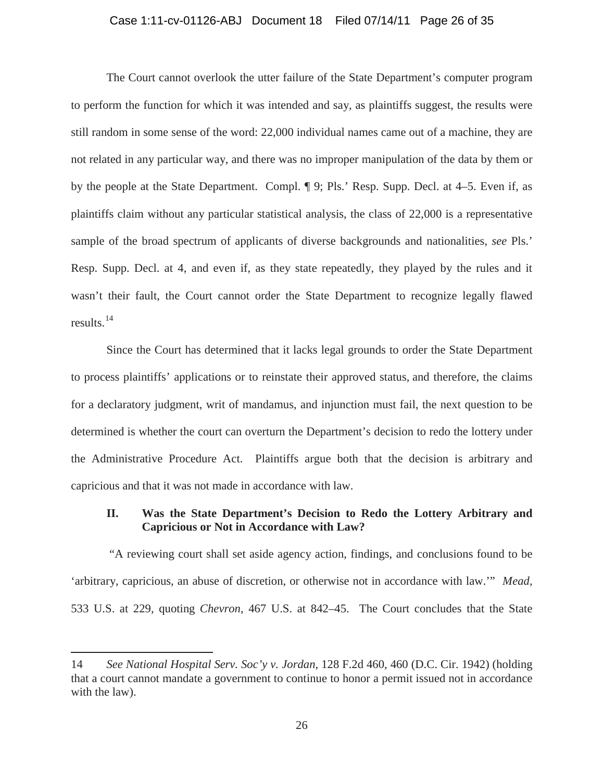# Case 1:11-cv-01126-ABJ Document 18 Filed 07/14/11 Page 26 of 35

The Court cannot overlook the utter failure of the State Department's computer program to perform the function for which it was intended and say, as plaintiffs suggest, the results were still random in some sense of the word: 22,000 individual names came out of a machine, they are not related in any particular way, and there was no improper manipulation of the data by them or by the people at the State Department. Compl. ¶ 9; Pls.' Resp. Supp. Decl. at 4–5. Even if, as plaintiffs claim without any particular statistical analysis, the class of 22,000 is a representative sample of the broad spectrum of applicants of diverse backgrounds and nationalities, *see* Pls.' Resp. Supp. Decl. at 4, and even if, as they state repeatedly, they played by the rules and it wasn't their fault, the Court cannot order the State Department to recognize legally flawed results. $^{14}$ 

Since the Court has determined that it lacks legal grounds to order the State Department to process plaintiffs' applications or to reinstate their approved status, and therefore, the claims for a declaratory judgment, writ of mandamus, and injunction must fail, the next question to be determined is whether the court can overturn the Department's decision to redo the lottery under the Administrative Procedure Act. Plaintiffs argue both that the decision is arbitrary and capricious and that it was not made in accordance with law.

# **II. Was the State Department's Decision to Redo the Lottery Arbitrary and Capricious or Not in Accordance with Law?**

"A reviewing court shall set aside agency action, findings, and conclusions found to be 'arbitrary, capricious, an abuse of discretion, or otherwise not in accordance with law.'" *Mead,*  533 U.S. at 229, quoting *Chevron*, 467 U.S. at 842–45. The Court concludes that the State

<sup>14</sup> *See National Hospital Serv. Soc'y v. Jordan*, 128 F.2d 460, 460 (D.C. Cir. 1942) (holding that a court cannot mandate a government to continue to honor a permit issued not in accordance with the law).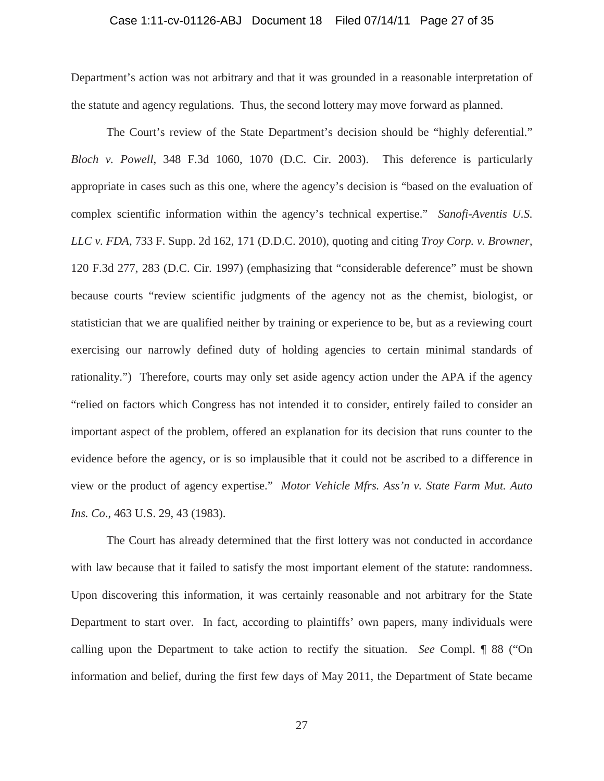## Case 1:11-cv-01126-ABJ Document 18 Filed 07/14/11 Page 27 of 35

Department's action was not arbitrary and that it was grounded in a reasonable interpretation of the statute and agency regulations. Thus, the second lottery may move forward as planned.

The Court's review of the State Department's decision should be "highly deferential." *Bloch v. Powell*, 348 F.3d 1060, 1070 (D.C. Cir. 2003). This deference is particularly appropriate in cases such as this one, where the agency's decision is "based on the evaluation of complex scientific information within the agency's technical expertise." *Sanofi-Aventis U.S. LLC v. FDA*, 733 F. Supp. 2d 162, 171 (D.D.C. 2010), quoting and citing *Troy Corp. v. Browner*, 120 F.3d 277, 283 (D.C. Cir. 1997) (emphasizing that "considerable deference" must be shown because courts "review scientific judgments of the agency not as the chemist, biologist, or statistician that we are qualified neither by training or experience to be, but as a reviewing court exercising our narrowly defined duty of holding agencies to certain minimal standards of rationality.") Therefore, courts may only set aside agency action under the APA if the agency "relied on factors which Congress has not intended it to consider, entirely failed to consider an important aspect of the problem, offered an explanation for its decision that runs counter to the evidence before the agency, or is so implausible that it could not be ascribed to a difference in view or the product of agency expertise." *Motor Vehicle Mfrs. Ass'n v. State Farm Mut. Auto Ins. Co*., 463 U.S. 29, 43 (1983).

The Court has already determined that the first lottery was not conducted in accordance with law because that it failed to satisfy the most important element of the statute: randomness. Upon discovering this information, it was certainly reasonable and not arbitrary for the State Department to start over. In fact, according to plaintiffs' own papers, many individuals were calling upon the Department to take action to rectify the situation. *See* Compl. ¶ 88 ("On information and belief, during the first few days of May 2011, the Department of State became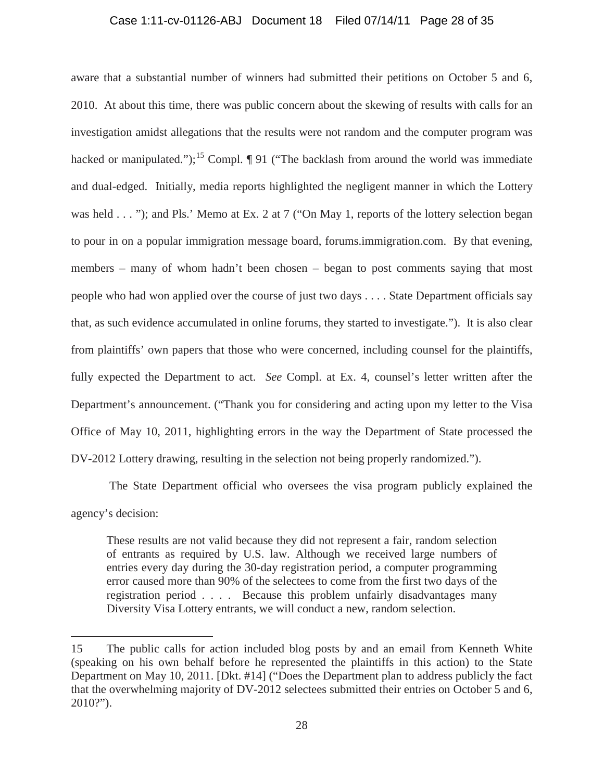# Case 1:11-cv-01126-ABJ Document 18 Filed 07/14/11 Page 28 of 35

aware that a substantial number of winners had submitted their petitions on October 5 and 6, 2010. At about this time, there was public concern about the skewing of results with calls for an investigation amidst allegations that the results were not random and the computer program was hacked or manipulated.");<sup>15</sup> Compl.  $\P$  91 ("The backlash from around the world was immediate and dual-edged. Initially, media reports highlighted the negligent manner in which the Lottery was held . . . "); and Pls.' Memo at Ex. 2 at 7 ("On May 1, reports of the lottery selection began to pour in on a popular immigration message board, forums.immigration.com. By that evening, members – many of whom hadn't been chosen – began to post comments saying that most people who had won applied over the course of just two days . . . . State Department officials say that, as such evidence accumulated in online forums, they started to investigate."). It is also clear from plaintiffs' own papers that those who were concerned, including counsel for the plaintiffs, fully expected the Department to act. *See* Compl. at Ex. 4, counsel's letter written after the Department's announcement. ("Thank you for considering and acting upon my letter to the Visa Office of May 10, 2011, highlighting errors in the way the Department of State processed the DV-2012 Lottery drawing, resulting in the selection not being properly randomized.").

The State Department official who oversees the visa program publicly explained the agency's decision:

These results are not valid because they did not represent a fair, random selection of entrants as required by U.S. law. Although we received large numbers of entries every day during the 30-day registration period, a computer programming error caused more than 90% of the selectees to come from the first two days of the registration period . . . . Because this problem unfairly disadvantages many Diversity Visa Lottery entrants, we will conduct a new, random selection.

<sup>15</sup> The public calls for action included blog posts by and an email from Kenneth White (speaking on his own behalf before he represented the plaintiffs in this action) to the State Department on May 10, 2011. [Dkt. #14] ("Does the Department plan to address publicly the fact that the overwhelming majority of DV-2012 selectees submitted their entries on October 5 and 6, 2010?").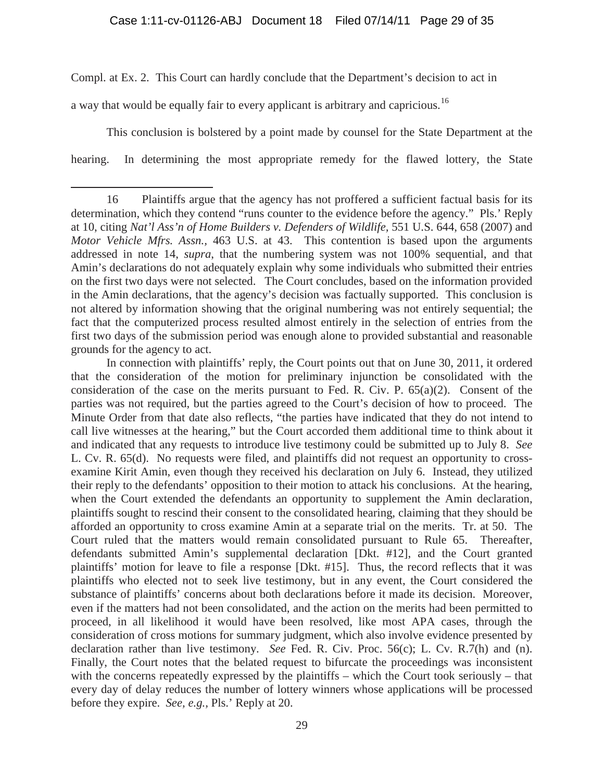Compl. at Ex. 2. This Court can hardly conclude that the Department's decision to act in

a way that would be equally fair to every applicant is arbitrary and capricious.<sup>16</sup>

 $\overline{a}$ 

This conclusion is bolstered by a point made by counsel for the State Department at the hearing. In determining the most appropriate remedy for the flawed lottery, the State

<sup>16</sup> Plaintiffs argue that the agency has not proffered a sufficient factual basis for its determination, which they contend "runs counter to the evidence before the agency." Pls.' Reply at 10, citing *Nat'l Ass'n of Home Builders v. Defenders of Wildlife,* 551 U.S. 644, 658 (2007) and *Motor Vehicle Mfrs. Assn.,* 463 U.S. at 43. This contention is based upon the arguments addressed in note 14, *supra*, that the numbering system was not 100% sequential, and that Amin's declarations do not adequately explain why some individuals who submitted their entries on the first two days were not selected. The Court concludes, based on the information provided in the Amin declarations, that the agency's decision was factually supported. This conclusion is not altered by information showing that the original numbering was not entirely sequential; the fact that the computerized process resulted almost entirely in the selection of entries from the first two days of the submission period was enough alone to provided substantial and reasonable grounds for the agency to act.

In connection with plaintiffs' reply, the Court points out that on June 30, 2011, it ordered that the consideration of the motion for preliminary injunction be consolidated with the consideration of the case on the merits pursuant to Fed. R. Civ. P.  $65(a)(2)$ . Consent of the parties was not required, but the parties agreed to the Court's decision of how to proceed. The Minute Order from that date also reflects, "the parties have indicated that they do not intend to call live witnesses at the hearing," but the Court accorded them additional time to think about it and indicated that any requests to introduce live testimony could be submitted up to July 8. *See*  L. Cv. R. 65(d). No requests were filed, and plaintiffs did not request an opportunity to crossexamine Kirit Amin, even though they received his declaration on July 6. Instead, they utilized their reply to the defendants' opposition to their motion to attack his conclusions. At the hearing, when the Court extended the defendants an opportunity to supplement the Amin declaration, plaintiffs sought to rescind their consent to the consolidated hearing, claiming that they should be afforded an opportunity to cross examine Amin at a separate trial on the merits. Tr. at 50. The Court ruled that the matters would remain consolidated pursuant to Rule 65. Thereafter, defendants submitted Amin's supplemental declaration [Dkt. #12], and the Court granted plaintiffs' motion for leave to file a response [Dkt. #15]. Thus, the record reflects that it was plaintiffs who elected not to seek live testimony, but in any event, the Court considered the substance of plaintiffs' concerns about both declarations before it made its decision. Moreover, even if the matters had not been consolidated, and the action on the merits had been permitted to proceed, in all likelihood it would have been resolved, like most APA cases, through the consideration of cross motions for summary judgment, which also involve evidence presented by declaration rather than live testimony. *See* Fed. R. Civ. Proc. 56(c); L. Cv. R.7(h) and (n). Finally, the Court notes that the belated request to bifurcate the proceedings was inconsistent with the concerns repeatedly expressed by the plaintiffs – which the Court took seriously – that every day of delay reduces the number of lottery winners whose applications will be processed before they expire. *See, e.g.,* Pls.' Reply at 20.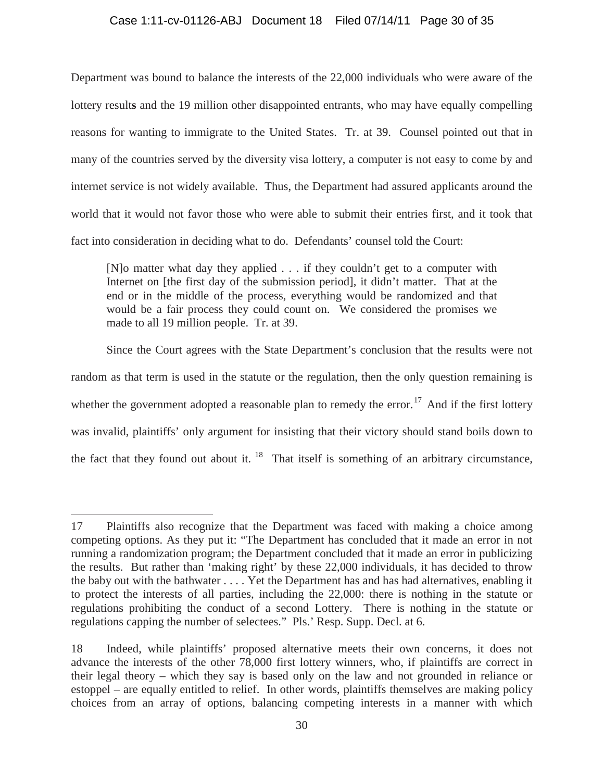# Case 1:11-cv-01126-ABJ Document 18 Filed 07/14/11 Page 30 of 35

Department was bound to balance the interests of the 22,000 individuals who were aware of the lottery result**s** and the 19 million other disappointed entrants, who may have equally compelling reasons for wanting to immigrate to the United States. Tr. at 39. Counsel pointed out that in many of the countries served by the diversity visa lottery, a computer is not easy to come by and internet service is not widely available. Thus, the Department had assured applicants around the world that it would not favor those who were able to submit their entries first, and it took that fact into consideration in deciding what to do. Defendants' counsel told the Court:

[N]o matter what day they applied . . . if they couldn't get to a computer with Internet on [the first day of the submission period], it didn't matter. That at the end or in the middle of the process, everything would be randomized and that would be a fair process they could count on. We considered the promises we made to all 19 million people. Tr. at 39.

Since the Court agrees with the State Department's conclusion that the results were not random as that term is used in the statute or the regulation, then the only question remaining is whether the government adopted a reasonable plan to remedy the error.<sup>17</sup> And if the first lottery was invalid, plaintiffs' only argument for insisting that their victory should stand boils down to the fact that they found out about it.  $18$  That itself is something of an arbitrary circumstance,

<sup>17</sup> Plaintiffs also recognize that the Department was faced with making a choice among competing options. As they put it: "The Department has concluded that it made an error in not running a randomization program; the Department concluded that it made an error in publicizing the results. But rather than 'making right' by these 22,000 individuals, it has decided to throw the baby out with the bathwater . . . . Yet the Department has and has had alternatives, enabling it to protect the interests of all parties, including the 22,000: there is nothing in the statute or regulations prohibiting the conduct of a second Lottery. There is nothing in the statute or regulations capping the number of selectees." Pls.' Resp. Supp. Decl. at 6.

<sup>18</sup> Indeed, while plaintiffs' proposed alternative meets their own concerns, it does not advance the interests of the other 78,000 first lottery winners, who, if plaintiffs are correct in their legal theory – which they say is based only on the law and not grounded in reliance or estoppel – are equally entitled to relief. In other words, plaintiffs themselves are making policy choices from an array of options, balancing competing interests in a manner with which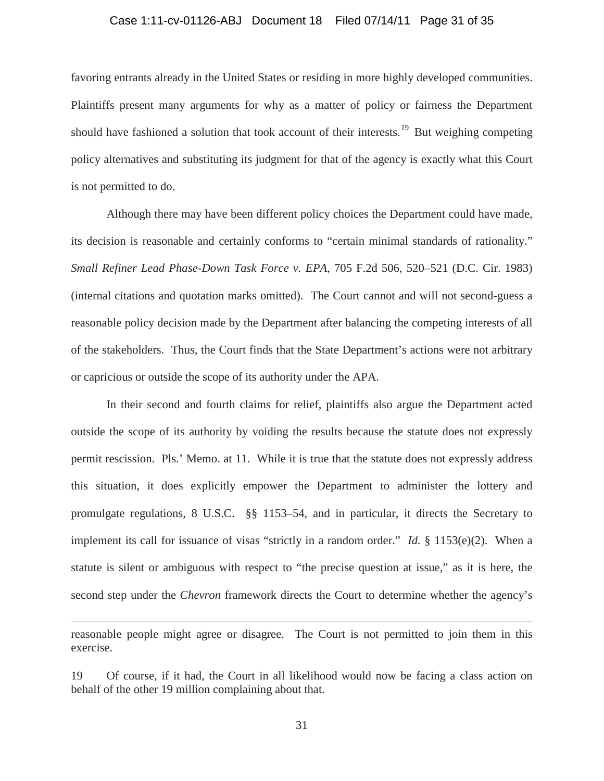## Case 1:11-cv-01126-ABJ Document 18 Filed 07/14/11 Page 31 of 35

favoring entrants already in the United States or residing in more highly developed communities. Plaintiffs present many arguments for why as a matter of policy or fairness the Department should have fashioned a solution that took account of their interests.<sup>19</sup> But weighing competing policy alternatives and substituting its judgment for that of the agency is exactly what this Court is not permitted to do.

Although there may have been different policy choices the Department could have made, its decision is reasonable and certainly conforms to "certain minimal standards of rationality." *Small Refiner Lead Phase-Down Task Force v. EPA*, 705 F.2d 506, 520–521 (D.C. Cir. 1983) (internal citations and quotation marks omitted). The Court cannot and will not second-guess a reasonable policy decision made by the Department after balancing the competing interests of all of the stakeholders. Thus, the Court finds that the State Department's actions were not arbitrary or capricious or outside the scope of its authority under the APA.

In their second and fourth claims for relief, plaintiffs also argue the Department acted outside the scope of its authority by voiding the results because the statute does not expressly permit rescission. Pls.' Memo. at 11. While it is true that the statute does not expressly address this situation, it does explicitly empower the Department to administer the lottery and promulgate regulations, 8 U.S.C. §§ 1153–54, and in particular, it directs the Secretary to implement its call for issuance of visas "strictly in a random order." *Id.* § 1153(e)(2). When a statute is silent or ambiguous with respect to "the precise question at issue," as it is here, the second step under the *Chevron* framework directs the Court to determine whether the agency's

reasonable people might agree or disagree. The Court is not permitted to join them in this exercise.

<sup>19</sup> Of course, if it had, the Court in all likelihood would now be facing a class action on behalf of the other 19 million complaining about that.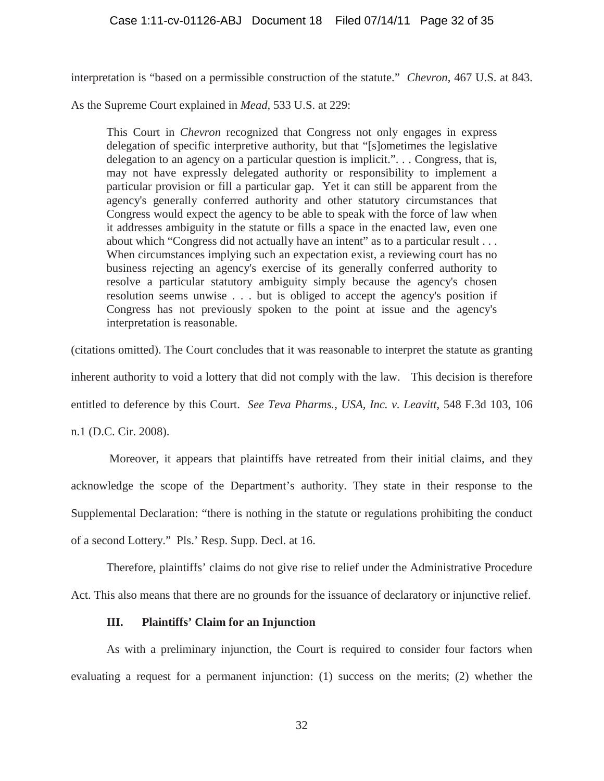interpretation is "based on a permissible construction of the statute." *Chevron*, 467 U.S. at 843.

As the Supreme Court explained in *Mead,* 533 U.S. at 229:

This Court in *Chevron* recognized that Congress not only engages in express delegation of specific interpretive authority, but that "[s]ometimes the legislative delegation to an agency on a particular question is implicit.". . . Congress, that is, may not have expressly delegated authority or responsibility to implement a particular provision or fill a particular gap. Yet it can still be apparent from the agency's generally conferred authority and other statutory circumstances that Congress would expect the agency to be able to speak with the force of law when it addresses ambiguity in the statute or fills a space in the enacted law, even one about which "Congress did not actually have an intent" as to a particular result . . . When circumstances implying such an expectation exist, a reviewing court has no business rejecting an agency's exercise of its generally conferred authority to resolve a particular statutory ambiguity simply because the agency's chosen resolution seems unwise . . . but is obliged to accept the agency's position if Congress has not previously spoken to the point at issue and the agency's interpretation is reasonable.

(citations omitted). The Court concludes that it was reasonable to interpret the statute as granting inherent authority to void a lottery that did not comply with the law. This decision is therefore entitled to deference by this Court. *See Teva Pharms., USA, Inc. v. Leavitt*, 548 F.3d 103, 106 n.1 (D.C. Cir. 2008).

Moreover, it appears that plaintiffs have retreated from their initial claims, and they acknowledge the scope of the Department's authority. They state in their response to the Supplemental Declaration: "there is nothing in the statute or regulations prohibiting the conduct of a second Lottery." Pls.' Resp. Supp. Decl. at 16.

Therefore, plaintiffs' claims do not give rise to relief under the Administrative Procedure Act. This also means that there are no grounds for the issuance of declaratory or injunctive relief.

# **III. Plaintiffs' Claim for an Injunction**

As with a preliminary injunction, the Court is required to consider four factors when evaluating a request for a permanent injunction: (1) success on the merits; (2) whether the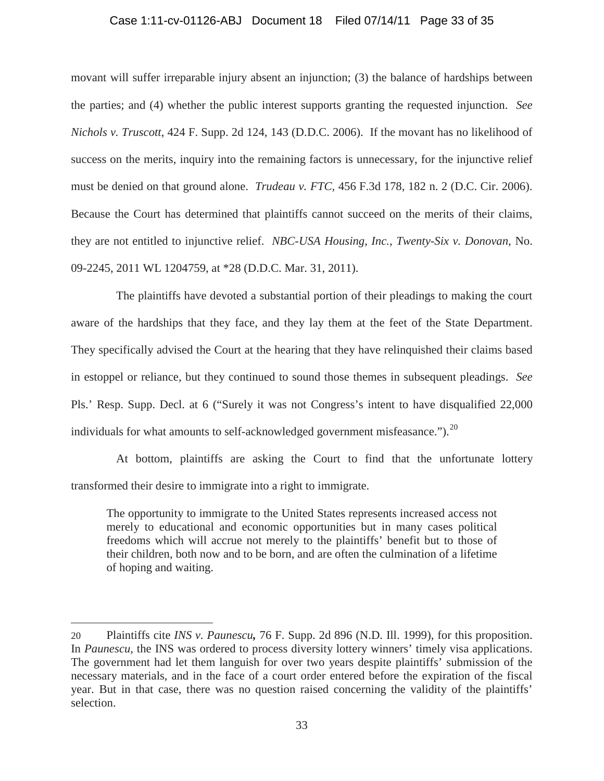# Case 1:11-cv-01126-ABJ Document 18 Filed 07/14/11 Page 33 of 35

movant will suffer irreparable injury absent an injunction; (3) the balance of hardships between the parties; and (4) whether the public interest supports granting the requested injunction. *See Nichols v. Truscott*, 424 F. Supp. 2d 124, 143 (D.D.C. 2006). If the movant has no likelihood of success on the merits, inquiry into the remaining factors is unnecessary, for the injunctive relief must be denied on that ground alone. *Trudeau v. FTC,* 456 F.3d 178, 182 n. 2 (D.C. Cir. 2006). Because the Court has determined that plaintiffs cannot succeed on the merits of their claims, they are not entitled to injunctive relief. *NBC-USA Housing, Inc., Twenty-Six v. Donovan*, No. 09-2245, 2011 WL 1204759, at \*28 (D.D.C. Mar. 31, 2011).

The plaintiffs have devoted a substantial portion of their pleadings to making the court aware of the hardships that they face, and they lay them at the feet of the State Department. They specifically advised the Court at the hearing that they have relinquished their claims based in estoppel or reliance, but they continued to sound those themes in subsequent pleadings. *See*  Pls.' Resp. Supp. Decl. at 6 ("Surely it was not Congress's intent to have disqualified 22,000 individuals for what amounts to self-acknowledged government misfeasance.").<sup>20</sup>

At bottom, plaintiffs are asking the Court to find that the unfortunate lottery transformed their desire to immigrate into a right to immigrate.

The opportunity to immigrate to the United States represents increased access not merely to educational and economic opportunities but in many cases political freedoms which will accrue not merely to the plaintiffs' benefit but to those of their children, both now and to be born, and are often the culmination of a lifetime of hoping and waiting.

<sup>20</sup> Plaintiffs cite *INS v. Paunescu,* 76 F. Supp. 2d 896 (N.D. Ill. 1999), for this proposition. In *Paunescu,* the INS was ordered to process diversity lottery winners' timely visa applications. The government had let them languish for over two years despite plaintiffs' submission of the necessary materials, and in the face of a court order entered before the expiration of the fiscal year. But in that case, there was no question raised concerning the validity of the plaintiffs' selection.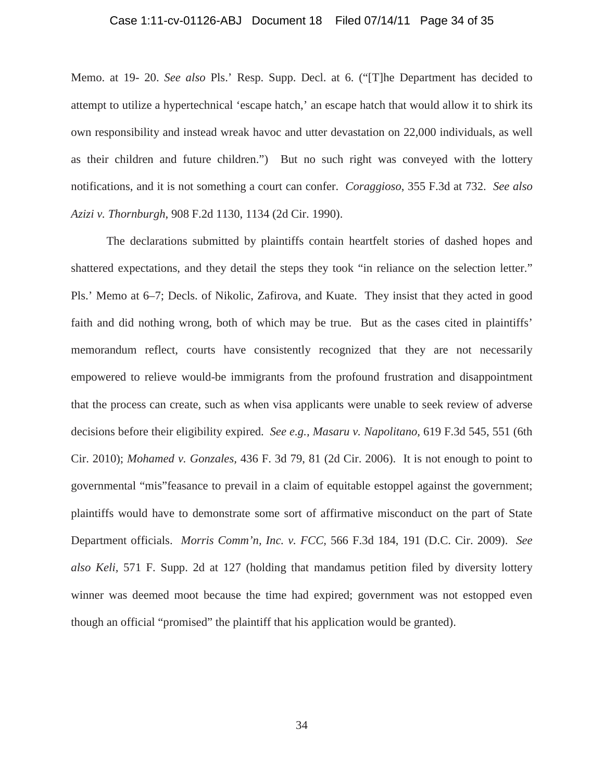## Case 1:11-cv-01126-ABJ Document 18 Filed 07/14/11 Page 34 of 35

Memo. at 19- 20. *See also* Pls.' Resp. Supp. Decl. at 6. ("[T]he Department has decided to attempt to utilize a hypertechnical 'escape hatch,' an escape hatch that would allow it to shirk its own responsibility and instead wreak havoc and utter devastation on 22,000 individuals, as well as their children and future children.") But no such right was conveyed with the lottery notifications, and it is not something a court can confer. *Coraggioso*, 355 F.3d at 732. *See also Azizi v. Thornburgh*, 908 F.2d 1130, 1134 (2d Cir. 1990).

The declarations submitted by plaintiffs contain heartfelt stories of dashed hopes and shattered expectations, and they detail the steps they took "in reliance on the selection letter." Pls.' Memo at 6–7; Decls. of Nikolic, Zafirova, and Kuate. They insist that they acted in good faith and did nothing wrong, both of which may be true. But as the cases cited in plaintiffs' memorandum reflect, courts have consistently recognized that they are not necessarily empowered to relieve would-be immigrants from the profound frustration and disappointment that the process can create, such as when visa applicants were unable to seek review of adverse decisions before their eligibility expired. *See e.g., Masaru v. Napolitano,* 619 F.3d 545, 551 (6th Cir. 2010); *Mohamed v. Gonzales,* 436 F. 3d 79, 81 (2d Cir. 2006). It is not enough to point to governmental "mis"feasance to prevail in a claim of equitable estoppel against the government; plaintiffs would have to demonstrate some sort of affirmative misconduct on the part of State Department officials. *Morris Comm'n, Inc. v. FCC,* 566 F.3d 184, 191 (D.C. Cir. 2009). *See also Keli,* 571 F. Supp. 2d at 127 (holding that mandamus petition filed by diversity lottery winner was deemed moot because the time had expired; government was not estopped even though an official "promised" the plaintiff that his application would be granted).